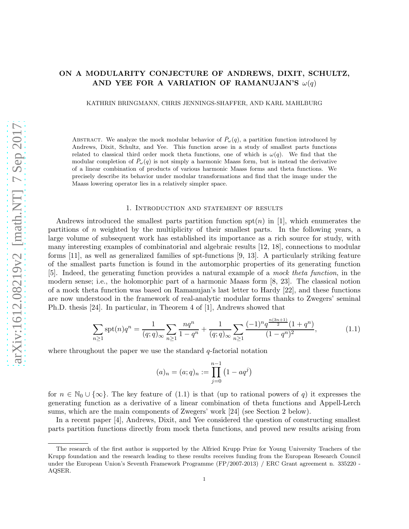# ON A MODULARITY CONJECTURE OF ANDREWS, DIXIT, SCHULTZ, AND YEE FOR A VARIATION OF RAMANUJAN'S  $\omega(q)$

KATHRIN BRINGMANN, CHRIS JENNINGS-SHAFFER, AND KARL MAHLBURG

ABSTRACT. We analyze the mock modular behavior of  $\bar{P}_{\omega}(q)$ , a partition function introduced by Andrews, Dixit, Schultz, and Yee. This function arose in a study of smallest parts functions related to classical third order mock theta functions, one of which is  $\omega(q)$ . We find that the modular completion of  $P_{\omega}(q)$  is not simply a harmonic Maass form, but is instead the derivative of a linear combination of products of various harmonic Maass forms and theta functions. We precisely describe its behavior under modular transformations and find that the image under the Maass lowering operator lies in a relatively simpler space.

# 1. Introduction and statement of results

Andrews introduced the smallest parts partition function  $\text{spt}(n)$  in [1], which enumerates the partitions of n weighted by the multiplicity of their smallest parts. In the following years, a large volume of subsequent work has established its importance as a rich source for study, with many interesting examples of combinatorial and algebraic results [12, 18], connections to modular forms [11], as well as generalized families of spt-functions [9, 13]. A particularly striking feature of the smallest parts function is found in the automorphic properties of its generating function [5]. Indeed, the generating function provides a natural example of a mock theta function, in the modern sense; i.e., the holomorphic part of a harmonic Maass form [8, 23]. The classical notion of a mock theta function was based on Ramanujan's last letter to Hardy [22], and these functions are now understood in the framework of real-analytic modular forms thanks to Zwegers' seminal Ph.D. thesis [24]. In particular, in Theorem 4 of [1], Andrews showed that

$$
\sum_{n\geq 1} \operatorname{spt}(n) q^n = \frac{1}{(q;q)_{\infty}} \sum_{n\geq 1} \frac{nq^n}{1-q^n} + \frac{1}{(q;q)_{\infty}} \sum_{n\geq 1} \frac{(-1)^n q^{\frac{n(3n+1)}{2}} (1+q^n)}{(1-q^n)^2},\tag{1.1}
$$

where throughout the paper we use the standard  $q$ -factorial notation

$$
(a)_n = (a;q)_n := \prod_{j=0}^{n-1} (1 - aq^j)
$$

for  $n \in \mathbb{N}_0 \cup \{\infty\}$ . The key feature of (1.1) is that (up to rational powers of q) it expresses the generating function as a derivative of a linear combination of theta functions and Appell-Lerch sums, which are the main components of Zwegers' work [24] (see Section 2 below).

In a recent paper [4], Andrews, Dixit, and Yee considered the question of constructing smallest parts partition functions directly from mock theta functions, and proved new results arising from

The research of the first author is supported by the Alfried Krupp Prize for Young University Teachers of the Krupp foundation and the research leading to these results receives funding from the European Research Council under the European Union's Seventh Framework Programme (FP/2007-2013) / ERC Grant agreement n. 335220 - AQSER.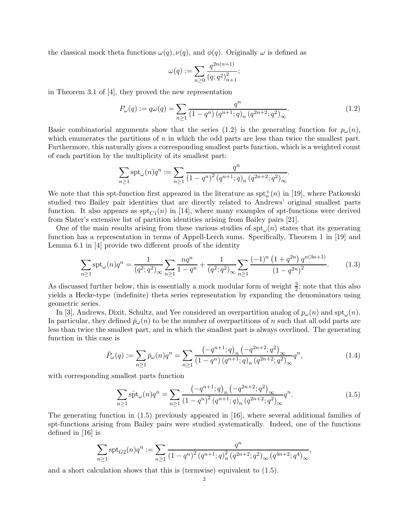the classical mock theta functions  $\omega(q)$ ,  $\nu(q)$ , and  $\phi(q)$ . Originally  $\omega$  is defined as

$$
\omega(q) := \sum_{n\geq 0} \frac{q^{2n(n+1)}}{(q;q^2)_{n+1}^2};
$$

in Theorem 3.1 of [4], they proved the new representation

$$
P_{\omega}(q) := q\omega(q) = \sum_{n \ge 1} \frac{q^n}{(1 - q^n) (q^{n+1}; q)_n (q^{2n+2}; q^2)_{\infty}}.
$$
\n(1.2)

Basic combinatorial arguments show that the series (1.2) is the generating function for  $p_{\omega}(n)$ , which enumerates the partitions of  $n$  in which the odd parts are less than twice the smallest part. Furthermore, this naturally gives a corresponding smallest parts function, which is a weighted count of each partition by the multiplicity of its smallest part:

$$
\sum_{n\geq 1} \text{spt}_{\omega}(n)q^n := \sum_{n\geq 1} \frac{q^n}{(1-q^n)^2 (q^{n+1};q)_n (q^{2n+2};q^2)_{\infty}}.
$$

We note that this spt-function first appeared in the literature as  $spt_o^+(n)$  in [19], where Patkowski studied two Bailey pair identities that are directly related to Andrews' original smallest parts function. It also appears as  $\text{spt}_{C_1}(n)$  in [14], where many examples of spt-functions were derived from Slater's extensive list of partition identities arising from Bailey pairs [21].

One of the main results arising from these various studies of  $\text{spt}_{\omega}(n)$  states that its generating function has a representation in terms of Appell-Lerch sums. Specifically, Theorem 1 in [19] and Lemma 6.1 in [4] provide two different proofs of the identity

$$
\sum_{n\geq 1} \operatorname{spt}_{\omega}(n) q^n = \frac{1}{(q^2;q^2)_{\infty}} \sum_{n\geq 1} \frac{nq^n}{1-q^n} + \frac{1}{(q^2;q^2)_{\infty}} \sum_{n\geq 1} \frac{(-1)^n (1+q^{2n}) q^{n(3n+1)}}{(1-q^{2n})^2}.
$$
 (1.3)

As discussed further below, this is essentially a mock modular form of weight  $\frac{3}{2}$ ; note that this also yields a Hecke-type (indefinite) theta series representation by expanding the denominators using geometric series.

In [3], Andrews, Dixit, Schultz, and Yee considered an overpartition analog of  $p_{\omega}(n)$  and  $\text{spt}_{\omega}(n)$ . In particular, they defined  $\bar{p}_{\omega}(n)$  to be the number of overpartitions of n such that all odd parts are less than twice the smallest part, and in which the smallest part is always overlined. The generating function in this case is

$$
\bar{P}_{\omega}(q) := \sum_{n \ge 1} \bar{p}_{\omega}(n) q^n = \sum_{n \ge 1} \frac{\left(-q^{n+1}; q\right)_n \left(-q^{2n+2}; q^2\right)_{\infty}}{\left(1 - q^n\right) \left(q^{n+1}; q\right)_n \left(q^{2n+2}; q^2\right)_{\infty}} q^n,\tag{1.4}
$$

with corresponding smallest parts function

$$
\sum_{n\geq 1} \bar{\text{spt}}_{\omega}(n) q^n = \sum_{n\geq 1} \frac{\left(-q^{n+1};q\right)_n \left(-q^{2n+2};q^2\right)_{\infty}}{\left(1-q^n\right)^2 \left(q^{n+1};q\right)_n \left(q^{2n+2};q^2\right)_{\infty}} q^n.
$$
\n(1.5)

The generating function in (1.5) previously appeared in [16], where several additional families of spt-functions arising from Bailey pairs were studied systematically. Indeed, one of the functions defined in [16] is

$$
\sum_{n\geq 1} \operatorname{spt}_{G2}(n) q^n := \sum_{n\geq 1} \frac{q^n}{(1-q^n)^2 (q^{n+1}; q)_n^2 (q^{2n+2}; q^2)_{\infty} (q^{4n+2}; q^4)_{\infty}},
$$

and a short calculation shows that this is (termwise) equivalent to (1.5).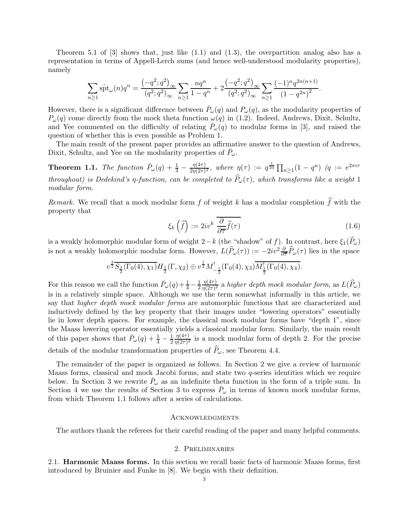Theorem 5.1 of  $[3]$  shows that, just like  $(1.1)$  and  $(1.3)$ , the overpartition analog also has a representation in terms of Appell-Lerch sums (and hence well-understood modularity properties), namely

$$
\sum_{n\geq 1} \overline{\textrm{spt}}_{\omega}(n) q^n = \frac{\left(-q^2; q^2\right)_{\infty}}{(q^2; q^2)_{\infty}} \sum_{n\geq 1} \frac{nq^n}{1-q^n} + 2 \frac{\left(-q^2; q^2\right)_{\infty}}{(q^2; q^2)_{\infty}} \sum_{n\geq 1} \frac{(-1)^n q^{2n(n+1)}}{\left(1-q^{2n}\right)^2}.
$$

However, there is a significant difference between  $\bar{P}_{\omega}(q)$  and  $P_{\omega}(q)$ , as the modularity properties of  $P_{\omega}(q)$  come directly from the mock theta function  $\omega(q)$  in (1.2). Indeed, Andrews, Dixit, Schultz, and Yee commented on the difficulty of relating  $\bar{P}_{\omega}(q)$  to modular forms in [3], and raised the question of whether this is even possible as Problem 1.

The main result of the present paper provides an affirmative answer to the question of Andrews, Dixit, Schultz, and Yee on the modularity properties of  $\bar{P}_{\omega}$ .

**Theorem 1.1.** The function  $\bar{P}_{\omega}(q) + \frac{1}{4} - \frac{\eta(4\tau)}{2\eta(2\tau)}$  $\frac{\eta(4\tau)}{2\eta(2\tau)^2}$ , where  $\eta(\tau) := q^{\frac{1}{24}} \prod_{n\geq 1} (1-q^n)$   $(q := e^{2\pi i \tau})$ throughout) is Dedekind's  $\eta$ -function, can be completed to  $\widehat{P}_{\omega}(\tau)$ , which transforms like a weight 1 modular form.

Remark. We recall that a mock modular form f of weight k has a modular completion  $\hat{f}$  with the property that

$$
\xi_k\left(\widehat{f}\right) := 2iv^k \frac{\partial}{\partial \overline{\tau}} \widehat{f}(\tau) \tag{1.6}
$$

is a weakly holomorphic modular form of weight 2−k (the "shadow" of f). In contrast, here  $\xi_1(P_\omega)$ is not a weakly holomorphic modular form. However,  $L(\hat{P}_\omega(\tau)) := -2iv^2 \frac{\partial}{\partial \overline{\tau}} \hat{P}_\omega(\tau)$  lies in the space

$$
v^{\frac{3}{2}}\overline{S_{\frac{3}{2}}(\Gamma_0(4), \chi_1)}H_{\frac{1}{2}}(\Gamma, \chi_2) \oplus v^{\frac{1}{2}}M_{-\frac{1}{2}}^!(\Gamma_0(4), \chi_3)\overline{M_{\frac{1}{2}}^!(\Gamma_0(4), \chi_4)}.
$$

For this reason we call the function  $\bar{P}_{\omega}(q) + \frac{1}{4} - \frac{1}{2}$ 2  $\eta(4\tau)$  $\frac{\eta(4\tau)}{\eta(2\tau)^2}$  a higher depth mock modular form, as  $L(P_\omega)$ is in a relatively simple space. Although we use the term somewhat informally in this article, we say that *higher depth mock modular forms* are automorphic functions that are characterized and inductively defined by the key property that their images under "lowering operators" essentially lie in lower depth spaces. For example, the classical mock modular forms have "depth 1", since the Maass lowering operator essentially yields a classical modular form. Similarly, the main result of this paper shows that  $\bar{P}_{\omega}(q) + \frac{1}{4} - \frac{1}{2}$  $\eta(4\tau)$  $\frac{\eta(4\tau)}{\eta(2\tau)^2}$  is a mock modular form of depth 2. For the precise details of the modular transformation properties of  $P_{\omega}$ , see Theorem 4.4.

The remainder of the paper is organized as follows. In Section 2 we give a review of harmonic Maass forms, classical and mock Jacobi forms, and state two q-series identities which we require below. In Section 3 we rewrite  $\bar{P}_{\omega}$  as an indefinite theta function in the form of a triple sum. In Section 4 we use the results of Section 3 to express  $\bar{P}_{\omega}$  in terms of known mock modular forms, from which Theorem 1.1 follows after a series of calculations.

# **ACKNOWLEDGMENTS**

The authors thank the referees for their careful reading of the paper and many helpful comments.

#### 2. Preliminaries

2.1. Harmonic Maass forms. In this section we recall basic facts of harmonic Maass forms, first introduced by Bruinier and Funke in [8]. We begin with their definition.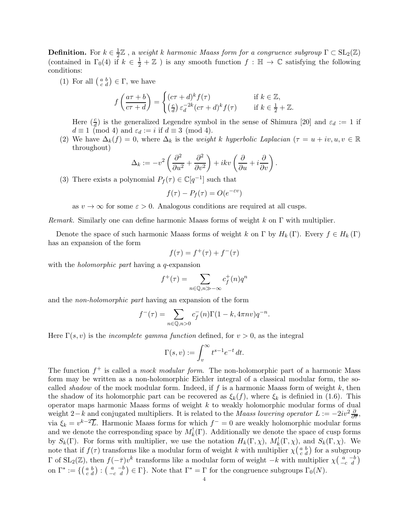**Definition.** For  $k \in \frac{1}{2}$  $\frac{1}{2}\mathbb{Z}$ , a weight k harmonic Maass form for a congruence subgroup  $\Gamma \subset SL_2(\mathbb{Z})$ (contained in  $\Gamma_0(4)$  if  $k \in \frac{1}{2} + \mathbb{Z}$ ) is any smooth function  $f : \mathbb{H} \to \mathbb{C}$  satisfying the following conditions:

(1) For all  $\left(\begin{smallmatrix} a & b \\ c & d \end{smallmatrix}\right) \in \Gamma$ , we have

$$
f\left(\frac{a\tau+b}{c\tau+d}\right) = \begin{cases} (c\tau+d)^k f(\tau) & \text{if } k \in \mathbb{Z},\\ \left(\frac{c}{d}\right) \varepsilon_d^{-2k} (c\tau+d)^k f(\tau) & \text{if } k \in \frac{1}{2} + \mathbb{Z}. \end{cases}
$$

Here  $(\frac{c}{d})$  is the generalized Legendre symbol in the sense of Shimura [20] and  $\varepsilon_d := 1$  if  $d \equiv 1 \pmod{4}$  and  $\varepsilon_d := i$  if  $d \equiv 3 \pmod{4}$ .

(2) We have  $\Delta_k(f) = 0$ , where  $\Delta_k$  is the weight k hyperbolic Laplacian  $(\tau = u + iv, u, v \in \mathbb{R})$ throughout)

$$
\Delta_k := -v^2 \left( \frac{\partial^2}{\partial u^2} + \frac{\partial^2}{\partial v^2} \right) + ikv \left( \frac{\partial}{\partial u} + i \frac{\partial}{\partial v} \right).
$$

(3) There exists a polynomial  $P_f(\tau) \in \mathbb{C}[q^{-1}]$  such that

$$
f(\tau) - P_f(\tau) = O(e^{-\varepsilon v})
$$

as  $v \to \infty$  for some  $\varepsilon > 0$ . Analogous conditions are required at all cusps.

Remark. Similarly one can define harmonic Maass forms of weight k on  $\Gamma$  with multiplier.

Denote the space of such harmonic Maass forms of weight k on Γ by  $H_k(\Gamma)$ . Every  $f \in H_k(\Gamma)$ has an expansion of the form

$$
f(\tau) = f^+(\tau) + f^-(\tau)
$$

with the *holomorphic part* having a *q*-expansion

$$
f^+(\tau) = \sum_{n \in \mathbb{Q}, n \gg -\infty} c_f^+(n) q^n
$$

and the non-holomorphic part having an expansion of the form

$$
f^{-}(\tau) = \sum_{n \in \mathbb{Q}, n > 0} c_f^{-}(n) \Gamma(1 - k, 4\pi n v) q^{-n}.
$$

Here  $\Gamma(s, v)$  is the *incomplete gamma function* defined, for  $v > 0$ , as the integral

$$
\Gamma(s,v) := \int_v^{\infty} t^{s-1} e^{-t} dt.
$$

The function  $f^+$  is called a *mock modular form*. The non-holomorphic part of a harmonic Mass form may be written as a non-holomorphic Eichler integral of a classical modular form, the socalled shadow of the mock modular form. Indeed, if f is a harmonic Maass form of weight  $k$ , then the shadow of its holomorphic part can be recovered as  $\xi_k(f)$ , where  $\xi_k$  is definied in (1.6). This operator maps harmonic Maass forms of weight k to weakly holomorphic modular forms of dual weight 2−k and conjugated multipliers. It is related to the Maass lowering operator  $L := -2iv^2 \frac{\partial}{\partial \tau}$ , via  $\xi_k = v^{k-2} \overline{L}$ . Harmonic Maass forms for which  $f^- = 0$  are weakly holomorphic modular forms and we denote the corresponding space by  $M_k^!(\Gamma)$ . Additionally we denote the space of cusp forms by  $S_k(\Gamma)$ . For forms with multiplier, we use the notation  $H_k(\Gamma,\chi)$ ,  $M_k^!(\Gamma,\chi)$ , and  $S_k(\Gamma,\chi)$ . We note that if  $f(\tau)$  transforms like a modular form of weight k with multiplier  $\chi(\frac{a}{c} \frac{b}{d})$  for a subgroup Γ of SL<sub>2</sub>(ℤ), then  $f(-\bar{\tau})v^k$  transforms like a modular form of weight  $-k$  with multiplier  $\chi\left(\begin{array}{cc} a & -b \\ -c & d \end{array}\right)$ on  $\Gamma^* := \{ \begin{pmatrix} a & b \\ c & d \end{pmatrix} : \begin{pmatrix} a & -b \\ -c & d \end{pmatrix} \in \Gamma \}$ . Note that  $\Gamma^* = \Gamma$  for the congruence subgroups  $\Gamma_0(N)$ .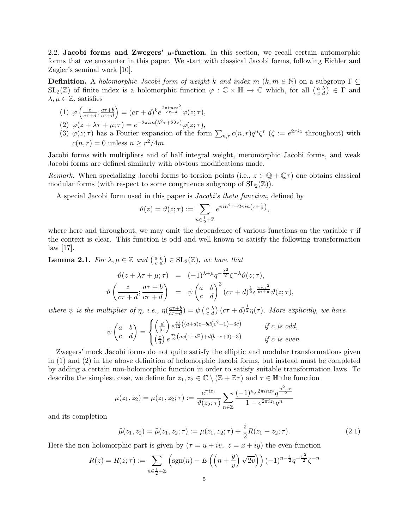2.2. Jacobi forms and Zwegers'  $\mu$ -function. In this section, we recall certain automorphic forms that we encounter in this paper. We start with classical Jacobi forms, following Eichler and Zagier's seminal work [10].

**Definition.** A holomorphic Jacobi form of weight k and index  $m (k, m \in \mathbb{N})$  on a subgroup  $\Gamma \subseteq$  $SL_2(\mathbb{Z})$  of finite index is a holomorphic function  $\varphi : \mathbb{C} \times \mathbb{H} \to \mathbb{C}$  which, for all  $\left(\begin{smallmatrix} a & b \\ c & d \end{smallmatrix}\right) \in \Gamma$  and  $\lambda, \mu \in \mathbb{Z}$ , satisfies

$$
(1) \ \varphi\left(\frac{z}{c\tau+d};\frac{a\tau+b}{c\tau+d}\right)=(c\tau+d)^k e^{\frac{2\pi imcz^2}{c\tau+d}}\varphi(z;\tau),
$$

- (2)  $\varphi(z + \lambda \tau + \mu; \tau) = e^{-2\pi i m(\lambda^2 \tau + 2\lambda z)} \varphi(z; \tau),$
- (3)  $\varphi(z;\tau)$  has a Fourier expansion of the form  $\sum_{n,r} c(n,r)q^n\zeta^r$  ( $\zeta := e^{2\pi i z}$  throughout) with  $c(n,r) = 0$  unless  $n \geq r^2/4m$ .

Jacobi forms with multipliers and of half integral weight, meromorphic Jacobi forms, and weak Jacobi forms are defined similarly with obvious modifications made.

Remark. When specializing Jacobi forms to torsion points (i.e.,  $z \in \mathbb{Q} + \mathbb{Q}\tau$ ) one obtains classical modular forms (with respect to some congruence subgroup of  $SL_2(\mathbb{Z})$ ).

A special Jacobi form used in this paper is Jacobi's theta function, defined by

$$
\vartheta(z) = \vartheta(z;\tau) := \sum_{n \in \frac{1}{2} + \mathbb{Z}} e^{\pi i n^2 \tau + 2\pi i n \left(z + \frac{1}{2}\right)},
$$

where here and throughout, we may omit the dependence of various functions on the variable  $\tau$  if the context is clear. This function is odd and well known to satisfy the following transformation  $\text{law } |17|$ .

**Lemma 2.1.** For  $\lambda, \mu \in \mathbb{Z}$  and  $\begin{pmatrix} a & b \\ c & d \end{pmatrix} \in SL_2(\mathbb{Z})$ , we have that

$$
\vartheta(z + \lambda \tau + \mu; \tau) = (-1)^{\lambda + \mu} q^{-\frac{\lambda^2}{2}} \zeta^{-\lambda} \vartheta(z; \tau),
$$
  

$$
\vartheta\left(\frac{z}{c\tau + d}; \frac{a\tau + b}{c\tau + d}\right) = \psi\left(\begin{matrix} a & b \\ c & d \end{matrix}\right)^3 (c\tau + d)^{\frac{1}{2}} e^{\frac{\pi i c z^2}{c\tau + d}} \vartheta(z; \tau),
$$

where  $\psi$  is the multiplier of  $\eta$ , i.e.,  $\eta(\frac{a\tau+b}{c\tau+d})$  $\frac{a\tau+b}{c\tau+d}$  =  $\psi$   $\left(\begin{smallmatrix} a & b \\ c & d \end{smallmatrix}\right)$   $(c\tau+d)^{\frac{1}{2}}\eta(\tau)$ . More explicitly, we have

$$
\psi\begin{pmatrix} a & b \ c & d \end{pmatrix} = \begin{cases} \left(\frac{d}{|c|}\right) e^{\frac{\pi i}{12} \left((a+d)c - bd(c^2-1) - 3c\right)} & \text{if } c \text{ is odd,} \\ \left(\frac{c}{d}\right) e^{\frac{\pi i}{12} \left(ac\left(1-d^2\right) + d(b-c+3) - 3\right)} & \text{if } c \text{ is even.} \end{cases}
$$

Zwegers' mock Jacobi forms do not quite satisfy the elliptic and modular transformations given in (1) and (2) in the above definition of holomorphic Jacobi forms, but instead must be completed by adding a certain non-holomorphic function in order to satisfy suitable transformation laws. To describe the simplest case, we define for  $z_1, z_2 \in \mathbb{C} \setminus (\mathbb{Z} + \mathbb{Z}\tau)$  and  $\tau \in \mathbb{H}$  the function

$$
\mu(z_1, z_2) = \mu(z_1, z_2; \tau) := \frac{e^{\pi i z_1}}{\vartheta(z_2; \tau)} \sum_{n \in \mathbb{Z}} \frac{(-1)^n e^{2\pi i n z_2} q^{\frac{n^2 + n}{2}}}{1 - e^{2\pi i z_1} q^n}
$$

and its completion

$$
\widehat{\mu}(z_1, z_2) = \widehat{\mu}(z_1, z_2; \tau) := \mu(z_1, z_2; \tau) + \frac{i}{2} R(z_1 - z_2; \tau). \tag{2.1}
$$

Here the non-holomorphic part is given by  $(\tau = u + iv, z = x + iy)$  the even function

$$
R(z) = R(z; \tau) := \sum_{n \in \frac{1}{2} + \mathbb{Z}} \left( \text{sgn}(n) - E\left( \left( n + \frac{y}{v} \right) \sqrt{2v} \right) \right) (-1)^{n - \frac{1}{2}} q^{-\frac{n^2}{2}} \zeta^{-n}
$$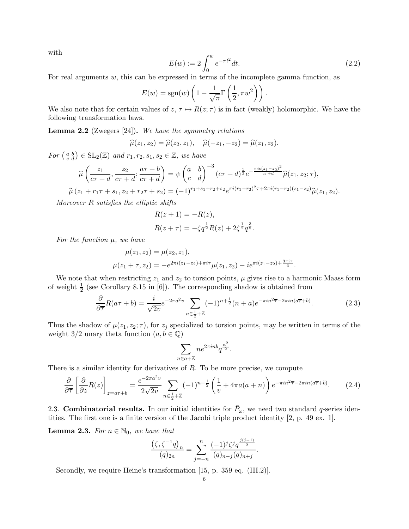with

$$
E(w) := 2 \int_0^w e^{-\pi t^2} dt.
$$
\n(2.2)

For real arguments  $w$ , this can be expressed in terms of the incomplete gamma function, as

$$
E(w) = \text{sgn}(w) \left( 1 - \frac{1}{\sqrt{\pi}} \Gamma\left(\frac{1}{2}, \pi w^2\right) \right).
$$

We also note that for certain values of  $z, \tau \mapsto R(z; \tau)$  is in fact (weakly) holomorphic. We have the following transformation laws.

**Lemma 2.2** (Zwegers  $[24]$ ). We have the symmetry relations

$$
\widehat{\mu}(z_1, z_2) = \widehat{\mu}(z_2, z_1), \quad \widehat{\mu}(-z_1, -z_2) = \widehat{\mu}(z_1, z_2).
$$

For  $\begin{pmatrix} a & b \\ c & d \end{pmatrix} \in SL_2(\mathbb{Z})$  and  $r_1, r_2, s_1, s_2 \in \mathbb{Z}$ , we have

$$
\widehat{\mu}\left(\frac{z_1}{c\tau+d}, \frac{z_2}{c\tau+d}; \frac{a\tau+b}{c\tau+d}\right) = \psi\left(\begin{matrix} a & b \\ c & d \end{matrix}\right)^{-3} (c\tau+d)^{\frac{1}{2}} e^{-\frac{\pi ic(z_1-z_2)^2}{c\tau+d}} \widehat{\mu}(z_1, z_2; \tau),
$$
  

$$
\widehat{\mu}(z_1 + r_1\tau + s_1, z_2 + r_2\tau + s_2) = (-1)^{r_1+s_1+r_2+s_2} e^{\pi i (r_1-r_2)^2 \tau + 2\pi i (r_1-r_2)(z_1-z_2)} \widehat{\mu}(z_1, z_2).
$$

Moreover R satisfies the elliptic shifts

$$
R(z + 1) = -R(z),
$$
  
\n
$$
R(z + \tau) = -\zeta q^{\frac{1}{2}} R(z) + 2\zeta^{\frac{1}{2}} q^{\frac{3}{8}}.
$$

For the function  $\mu$ , we have

$$
\mu(z_1, z_2) = \mu(z_2, z_1),
$$
  

$$
\mu(z_1 + \tau, z_2) = -e^{2\pi i (z_1 - z_2) + \pi i \tau} \mu(z_1, z_2) - ie^{\pi i (z_1 - z_2) + \frac{3\pi i \tau}{4}}.
$$

We note that when restricting  $z_1$  and  $z_2$  to torsion points,  $\mu$  gives rise to a harmonic Maass form of weight  $\frac{1}{2}$  (see Corollary 8.15 in [6]). The corresponding shadow is obtained from

$$
\frac{\partial}{\partial \overline{\tau}} R(a\tau + b) = \frac{i}{\sqrt{2v}} e^{-2\pi a^2 v} \sum_{n \in \frac{1}{2} + \mathbb{Z}} (-1)^{n + \frac{1}{2}} (n + a) e^{-\pi i n^2 \overline{\tau} - 2\pi i n (a\overline{\tau} + b)}.
$$
(2.3)

Thus the shadow of  $\mu(z_1, z_2; \tau)$ , for  $z_j$  specialized to torsion points, may be written in terms of the weight 3/2 unary theta function  $(a, b \in \mathbb{Q})$ 

$$
\sum_{n \in a + \mathbb{Z}} n e^{2\pi i n b} q^{\frac{n^2}{2}}.
$$

There is a similar identity for derivatives of  $R$ . To be more precise, we compute

$$
\frac{\partial}{\partial \overline{\tau}} \left[ \frac{\partial}{\partial z} R(z) \right]_{z=a\tau+b} = \frac{e^{-2\pi a^2 v}}{2\sqrt{2v}} \sum_{n \in \frac{1}{2} + \mathbb{Z}} (-1)^{n-\frac{1}{2}} \left( \frac{1}{v} + 4\pi a(a+n) \right) e^{-\pi i n^2 \overline{\tau} - 2\pi i n(a\overline{\tau} + b)}.
$$
 (2.4)

2.3. Combinatorial results. In our initial identities for  $\bar{P}_{\omega}$ , we need two standard q-series identities. The first one is a finite version of the Jacobi triple product identity [2, p. 49 ex. 1].

**Lemma 2.3.** For  $n \in \mathbb{N}_0$ , we have that

$$
\frac{(\zeta, \zeta^{-1}q)_n}{(q)_{2n}} = \sum_{j=-n}^n \frac{(-1)^j \zeta^j q^{\frac{j(j-1)}{2}}}{(q)_{n-j}(q)_{n+j}}.
$$

Secondly, we require Heine's transformation [15, p. 359 eq. (III.2)].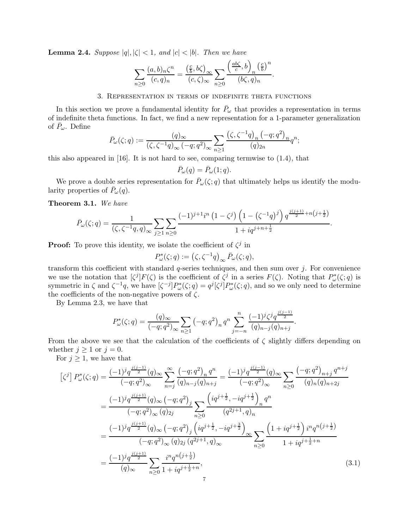**Lemma 2.4.** Suppose  $|q|, |\zeta| < 1$ , and  $|c| < |b|$ . Then we have

$$
\sum_{n\geq 0} \frac{(a,b)_n \zeta^n}{(c,q)_n} = \frac{\left(\frac{c}{b},b\zeta\right)_{\infty}}{(c,\zeta)_{\infty}} \sum_{n\geq 0} \frac{\left(\frac{ab\zeta}{c},b\right)_n \left(\frac{c}{b}\right)^n}{(b\zeta,q)_n}.
$$

# 3. Representation in terms of indefinite theta functions

In this section we prove a fundamental identity for  $\bar{P}_{\omega}$  that provides a representation in terms of indefinite theta functions. In fact, we find a new representation for a 1-parameter generalization of  $\bar{P}_{\omega}$ . Define

$$
\bar{P}_{\omega}(\zeta;q) := \frac{(q)_{\infty}}{(\zeta,\zeta^{-1}q)_{\infty}(-q;q^2)_{\infty}} \sum_{n\geq 1} \frac{(\zeta,\zeta^{-1}q)_{n}(-q;q^2)_{n}}{(q)_{2n}} q^n;
$$

this also appeared in  $[16]$ . It is not hard to see, comparing termwise to  $(1.4)$ , that

$$
\bar{P}_{\omega}(q) = \bar{P}_{\omega}(1;q).
$$

We prove a double series representation for  $\bar{P}_{\omega}(\zeta;q)$  that ultimately helps us identify the modularity properties of  $\bar{P}_\omega(q)$ .

Theorem 3.1. We have

$$
\bar{P}_{\omega}(\zeta;q) = \frac{1}{(\zeta,\zeta^{-1}q,q)_{\infty}} \sum_{j\geq 1} \sum_{n\geq 0} \frac{(-1)^{j+1}i^{n}(1-\zeta^{j})\left(1-\left(\zeta^{-1}q\right)^{j}\right) q^{\frac{j(j+1)}{2}+n\left(j+\frac{1}{2}\right)}}{1+iq^{j+n+\frac{1}{2}}}.
$$

**Proof:** To prove this identity, we isolate the coefficient of  $\zeta^j$  in

$$
P_{\omega}^*(\zeta;q) := (\zeta, \zeta^{-1}q)_{\infty} \bar{P}_{\omega}(\zeta;q),
$$

transform this coefficient with standard  $q$ -series techniques, and then sum over  $j$ . For convenience we use the notation that  $\zeta^{j}$   $F(\zeta)$  is the coefficient of  $\zeta^{j}$  in a series  $F(\zeta)$ . Noting that  $P_{\omega}^{*}(\zeta;q)$  is symmetric in  $\zeta$  and  $\zeta^{-1}q$ , we have  $[\zeta^{-j}]P^*_{\omega}(\zeta;q) = q^j[\zeta^j]P^*_{\omega}(\zeta;q)$ , and so we only need to determine the coefficients of the non-negative powers of  $\zeta$ .

By Lemma 2.3, we have that

$$
P_{\omega}^*(\zeta;q) = \frac{(q)_{\infty}}{(-q;q^2)_{\infty}} \sum_{n \ge 1} (-q;q^2)_n q^n \sum_{j=-n}^n \frac{(-1)^j \zeta^j q^{\frac{j(j-1)}{2}}}{(q)_{n-j}(q)_{n+j}}.
$$

From the above we see that the calculation of the coefficients of  $\zeta$  slightly differs depending on whether  $j \geq 1$  or  $j = 0$ .

For  $j \geq 1$ , we have that

$$
\begin{split}\n\left[\zeta^{j}\right] P_{\omega}^{*}(\zeta;q) &= \frac{(-1)^{j}q^{\frac{j(j-1)}{2}}(q)_{\infty}}{(-q;q^{2})_{\infty}} \sum_{n=j}^{\infty} \frac{(-q;q^{2})_{n}q^{n}}{(q)_{n-j}(q)_{n+j}} = \frac{(-1)^{j}q^{\frac{j(j-1)}{2}}(q)_{\infty}}{(-q;q^{2})_{\infty}} \sum_{n\geq 0} \frac{(-q;q^{2})_{n+j}q^{n+j}}{(q)_{n}(q)_{n+2j}} \\
&= \frac{(-1)^{j}q^{\frac{j(j+1)}{2}}(q)_{\infty}(-q;q^{2})_{j}}{(-q;q^{2})_{\infty}(q)_{2j}} \sum_{n\geq 0} \frac{\left(iq^{j+\frac{1}{2}},-iq^{j+\frac{1}{2}}\right)_{n}q^{n}}{(q^{2j+1},q)_{n}} \\
&= \frac{(-1)^{j}q^{\frac{j(j+1)}{2}}(q)_{\infty}(-q;q^{2})_{j}\left(iq^{j+\frac{1}{2}},-iq^{j+\frac{3}{2}}\right)_{\infty}}{(-q;q^{2})_{\infty}(q)_{2j}(q^{2j+1},q)_{\infty}} \sum_{n\geq 0} \frac{\left(1+iq^{j+\frac{1}{2}}\right)i^{n}q^{n(j+\frac{1}{2})}}{1+iq^{j+\frac{1}{2}+n}} \\
&= \frac{(-1)^{j}q^{\frac{j(j+1)}{2}}}{(q)_{\infty}} \sum_{n\geq 0} \frac{i^{n}q^{n(j+\frac{1}{2})}}{1+iq^{j+\frac{1}{2}+n}},\n\end{split} \tag{3.1}
$$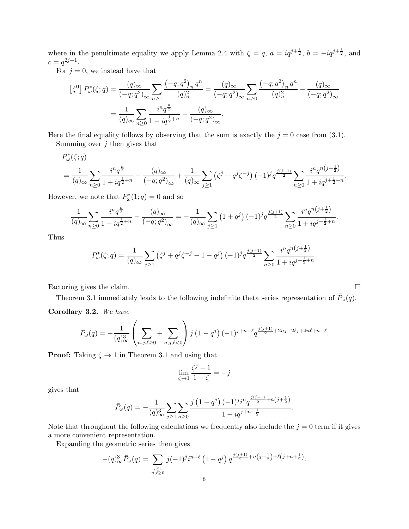where in the penultimate equality we apply Lemma 2.4 with  $\zeta = q$ ,  $a = iq^{j+\frac{1}{2}}$ ,  $b = -iq^{j+\frac{1}{2}}$ , and  $c = q^{2j+1}.$ 

For  $j = 0$ , we instead have that

$$
\begin{split} \left[\zeta^{0}\right]P_{\omega}^{*}(\zeta;q) &= \frac{(q)_{\infty}}{(-q;q^{2})_{\infty}}\sum_{n\geq 1}\frac{\left(-q;q^{2}\right)_{n}q^{n}}{(q)_{n}^{2}} = \frac{(q)_{\infty}}{(-q;q^{2})_{\infty}}\sum_{n\geq 0}\frac{\left(-q;q^{2}\right)_{n}q^{n}}{(q)_{n}^{2}} - \frac{(q)_{\infty}}{(-q;q^{2})_{\infty}}\\ &= \frac{1}{(q)_{\infty}}\sum_{n\geq 0}\frac{i^{n}q^{\frac{n}{2}}}{1+iq^{\frac{1}{2}+n}} - \frac{(q)_{\infty}}{(-q;q^{2})_{\infty}}. \end{split}
$$

Here the final equality follows by observing that the sum is exactly the  $j = 0$  case from (3.1). Summing over  $j$  then gives that

$$
P_{\omega}^{*}(\zeta;q)
$$
  
=  $\frac{1}{(q)_{\infty}} \sum_{n\geq 0} \frac{i^{n} q^{\frac{n}{2}}}{1 + iq^{\frac{1}{2}+n}} - \frac{(q)_{\infty}}{(-q;q^{2})_{\infty}} + \frac{1}{(q)_{\infty}} \sum_{j\geq 1} (\zeta^{j} + q^{j} \zeta^{-j}) (-1)^{j} q^{\frac{j(j+1)}{2}} \sum_{n\geq 0} \frac{i^{n} q^{n(j+\frac{1}{2})}}{1 + iq^{j+\frac{1}{2}+n}}.$ 

However, we note that  $P^*_{\omega}(1;q) = 0$  and so

$$
\frac{1}{(q)_{\infty}} \sum_{n\geq 0} \frac{i^n q^{\frac{n}{2}}}{1 + iq^{\frac{1}{2}+n}} - \frac{(q)_{\infty}}{(-q;q^2)_{\infty}} = -\frac{1}{(q)_{\infty}} \sum_{j\geq 1} \left(1 + q^j\right)(-1)^j q^{\frac{j(j+1)}{2}} \sum_{n\geq 0} \frac{i^n q^{n\left(j+\frac{1}{2}\right)}}{1 + iq^{j+\frac{1}{2}+n}}.
$$

Thus

$$
P_{\omega}^*(\zeta;q) = \frac{1}{(q)_{\infty}} \sum_{j \ge 1} (\zeta^j + q^j \zeta^{-j} - 1 - q^j) (-1)^j q^{\frac{j(j+1)}{2}} \sum_{n \ge 0} \frac{i^n q^{n(j+\frac{1}{2})}}{1 + iq^{j+\frac{1}{2}+n}}.
$$

Factoring gives the claim.

Theorem 3.1 immediately leads to the following indefinite theta series representation of  $\bar{P}_{\omega}(q)$ .

Corollary 3.2. We have

$$
\bar{P}_{\omega}(q) = -\frac{1}{(q)_{\infty}^{3}} \left( \sum_{n,j,\ell \geq 0} + \sum_{n,j,\ell < 0} \right) j \left( 1 - q^{j} \right) (-1)^{j+n+\ell} q^{\frac{j(j+1)}{2} + 2nj + 2\ell j + 4n\ell + n + \ell}.
$$

**Proof:** Taking  $\zeta \to 1$  in Theorem 3.1 and using that

$$
\lim_{\zeta \to 1} \frac{\zeta^j - 1}{1 - \zeta} = -j
$$

gives that

$$
\bar{P}_{\omega}(q) = -\frac{1}{(q)_{\infty}^{3}} \sum_{j \geq 1} \sum_{n \geq 0} \frac{j(1-q^{j})(-1)^{j} i^{n} q^{\frac{j(j+1)}{2}+n(j+\frac{1}{2})}}{1+iq^{j+n+\frac{1}{2}}}.
$$

Note that throughout the following calculations we frequently also include the  $j = 0$  term if it gives a more convenient representation.

Expanding the geometric series then gives

$$
-(q)_{\infty}^{3} \bar{P}_{\omega}(q) = \sum_{\substack{j \geq 1 \\ n,\ell \geq 0}} j(-1)^{j} i^{n-\ell} (1-q^{j}) q^{\frac{j(j+1)}{2}+n(j+\frac{1}{2})+\ell(j+n+\frac{1}{2})}.
$$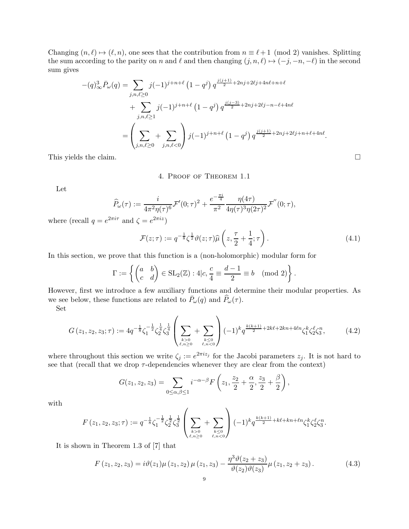Changing  $(n, \ell) \rightarrow (\ell, n)$ , one sees that the contribution from  $n \equiv \ell + 1 \pmod{2}$  vanishes. Splitting the sum according to the parity on n and  $\ell$  and then changing  $(j, n, \ell) \mapsto (-j, -n, -\ell)$  in the second sum gives

$$
-(q)_{\infty}^{3} \bar{P}_{\omega}(q) = \sum_{j,n,\ell \ge 0} j(-1)^{j+n+\ell} (1-q^j) q^{\frac{j(j+1)}{2}+2nj+2\ell j+4n\ell+n+\ell} + \sum_{j,n,\ell \ge 1} j(-1)^{j+n+\ell} (1-q^j) q^{\frac{j(j-3)}{2}+2nj+2\ell j-n-\ell+4n\ell} = \left( \sum_{j,n,\ell \ge 0} + \sum_{j,n,\ell < 0} \right) j(-1)^{j+n+\ell} (1-q^j) q^{\frac{j(j+1)}{2}+2nj+2\ell j+n+\ell+4n\ell}.
$$

This yields the claim.  $\Box$ 

# 4. Proof of Theorem 1.1

Let

$$
\widehat{P}_{\omega}(\tau) := \frac{i}{4\pi^2 \eta(\tau)^6} \mathcal{F}'(0;\tau)^2 + \frac{e^{-\frac{\pi i}{4}}}{\pi^2} \frac{\eta(4\tau)}{4\eta(\tau)^3 \eta(2\tau)^2} \mathcal{F}''(0;\tau),
$$
\n
$$
2^{\pi i \tau} \text{ and } \zeta = e^{2\pi i z})
$$

where (recall  $q = e^2$  $2\pi i\tau$  and  $\zeta = e$  $^{2\pi iz})$ 

$$
\mathcal{F}(z;\tau) := q^{-\frac{1}{8}} \zeta^{\frac{1}{2}} \vartheta(z;\tau) \widehat{\mu}\left(z, \frac{\tau}{2} + \frac{1}{4}; \tau\right).
$$
\n(4.1)

In this section, we prove that this function is a (non-holomorphic) modular form for

$$
\Gamma := \left\{ \begin{pmatrix} a & b \\ c & d \end{pmatrix} \in SL_2(\mathbb{Z}) : 4|c, \frac{c}{4} \equiv \frac{d-1}{2} \equiv b \pmod{2} \right\}.
$$

However, first we introduce a few auxiliary functions and determine their modular properties. As we see below, these functions are related to  $\bar{P}_{\omega}(q)$  and  $\widehat{P}_{\omega}(\tau)$ .

Set

$$
G(z_1, z_2, z_3; \tau) := 4q^{-\frac{1}{8}} \zeta_1^{-\frac{1}{2}} \zeta_2^{\frac{1}{4}} \zeta_3^{\frac{1}{4}} \left( \sum_{\substack{k>0 \\ \ell, n \ge 0}} + \sum_{\substack{k \le 0 \\ \ell, n < 0}} \right) (-1)^k q^{\frac{k(k+1)}{2} + 2k\ell + 2kn + 4\ell n} \zeta_1^k \zeta_2^{\ell} \zeta_3^n, \tag{4.2}
$$

where throughout this section we write  $\zeta_j := e^{2\pi i z_j}$  for the Jacobi parameters  $z_j$ . It is not hard to see that (recall that we drop  $\tau$ -dependencies whenever they are clear from the context)

$$
G(z_1, z_2, z_3) = \sum_{0 \le \alpha, \beta \le 1} i^{-\alpha - \beta} F\left(z_1, \frac{z_2}{2} + \frac{\alpha}{2}, \frac{z_3}{2} + \frac{\beta}{2}\right),
$$

with

$$
F(z_1, z_2, z_3; \tau) := q^{-\frac{1}{8}} \zeta_1^{-\frac{1}{2}} \zeta_2^{\frac{1}{2}} \zeta_3^{\frac{1}{2}} \left( \sum_{\substack{k > 0 \\ \ell, n \ge 0}} + \sum_{\substack{k \le 0 \\ \ell, n < 0}} \right) (-1)^k q^{\frac{k(k+1)}{2} + k\ell + kn + \ell n} \zeta_1^k \zeta_2^{\ell} \zeta_3^n.
$$

It is shown in Theorem 1.3 of [7] that

$$
F(z_1, z_2, z_3) = i\vartheta(z_1)\mu(z_1, z_2)\mu(z_1, z_3) - \frac{\eta^3\vartheta(z_2 + z_3)}{\vartheta(z_2)\vartheta(z_3)}\mu(z_1, z_2 + z_3).
$$
 (4.3)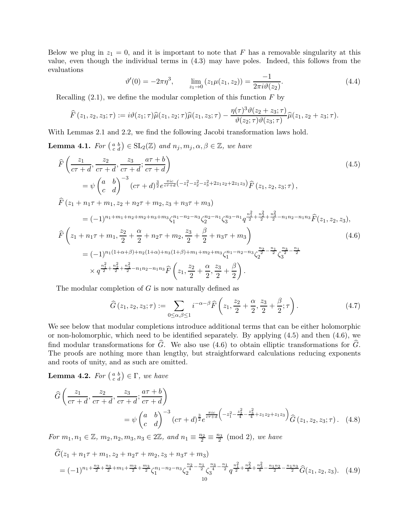Below we plug in  $z_1 = 0$ , and it is important to note that F has a removable singularity at this value, even though the individual terms in (4.3) may have poles. Indeed, this follows from the evaluations

$$
\vartheta'(0) = -2\pi\eta^3, \qquad \lim_{z_1 \to 0} (z_1\mu(z_1, z_2)) = \frac{-1}{2\pi i \vartheta(z_2)}.
$$
\n(4.4)

Recalling  $(2.1)$ , we define the modular completion of this function F by

$$
\widehat{F}(z_1, z_2, z_3; \tau) := i\vartheta(z_1; \tau)\widehat{\mu}(z_1, z_2; \tau)\widehat{\mu}(z_1, z_3; \tau) - \frac{\eta(\tau)^3 \vartheta(z_2 + z_3; \tau)}{\vartheta(z_2; \tau)\vartheta(z_3; \tau)}\widehat{\mu}(z_1, z_2 + z_3; \tau).
$$

With Lemmas 2.1 and 2.2, we find the following Jacobi transformation laws hold.

**Lemma 4.1.** For  $\begin{pmatrix} a & b \\ c & d \end{pmatrix} \in SL_2(\mathbb{Z})$  and  $n_j, m_j, \alpha, \beta \in \mathbb{Z}$ , we have

$$
\hat{F}\left(\frac{z_1}{c\tau+d}, \frac{z_2}{c\tau+d}, \frac{z_3}{c\tau+d}; \frac{a\tau+b}{c\tau+d}\right) \n= \psi \begin{pmatrix} a & b \\ c & d \end{pmatrix}^{-3} (c\tau+d)^{\frac{3}{2}} e^{\frac{\pi i c}{c\tau+d} \left(-z_1^2 - z_2^2 - z_3^2 + 2z_1 z_2 + 2z_1 z_3\right)} \hat{F}(z_1, z_2, z_3; \tau) ,
$$
\n
$$
\hat{F}(z_1 + n_1 \tau + m_1, z_2 + n_2 \tau + m_2, z_3 + n_3 \tau + m_3)
$$
\n(4.5)

$$
= (-1)^{n_1 + m_1 + n_2 + m_3 + m_3} \zeta_1^{n_1 - n_2 - n_3} \zeta_2^{n_2 - n_1} \zeta_3^{n_3 - n_1} q^{\frac{n_1^2}{2} + \frac{n_2^2}{2} + \frac{n_3^2}{2} - n_1 n_2 - n_1 n_3} \widehat{F}(z_1, z_2, z_3),
$$
  

$$
\widehat{F}\left(z_1 + n_1 \tau + m_1, \frac{z_2}{2} + \frac{\alpha}{2} + n_2 \tau + m_2, \frac{z_3}{2} + \frac{\beta}{2} + n_3 \tau + m_3\right)
$$
  

$$
= (-1)^{n_1(1 + \alpha + \beta) + n_2(1 + \alpha) + n_3(1 + \beta) + m_1 + m_2 + m_3} \zeta_1^{n_1 - n_2 - n_3} \zeta_2^{\frac{n_2}{2} - \frac{n_1}{2}} \zeta_3^{\frac{n_3}{2} - \frac{n_1}{2}}
$$
  

$$
\times q^{\frac{n_1^2}{2} + \frac{n_2^2}{2} + \frac{n_3^2}{2} - n_1 n_2 - n_1 n_3} \widehat{F}\left(z_1, \frac{z_2}{2} + \frac{\alpha}{2}, \frac{z_3}{2} + \frac{\beta}{2}\right).
$$
  
(4.6)

The modular completion of  $G$  is now naturally defined as

$$
\widehat{G}(z_1, z_2, z_3; \tau) := \sum_{0 \le \alpha, \beta \le 1} i^{-\alpha - \beta} \widehat{F}\left(z_1, \frac{z_2}{2} + \frac{\alpha}{2}, \frac{z_3}{2} + \frac{\beta}{2}; \tau\right).
$$
(4.7)

We see below that modular completions introduce additional terms that can be either holomorphic or non-holomorphic, which need to be identified separately. By applying (4.5) and then (4.6), we find modular transformations for  $\hat{G}$ . We also use (4.6) to obtain elliptic transformations for  $\hat{G}$ . The proofs are nothing more than lengthy, but straightforward calculations reducing exponents and roots of unity, and as such are omitted.

**Lemma 4.2.** For  $\begin{pmatrix} a & b \\ c & d \end{pmatrix} \in \Gamma$ , we have

$$
\hat{G}\left(\frac{z_1}{c\tau+d}, \frac{z_2}{c\tau+d}, \frac{z_3}{c\tau+d}; \frac{a\tau+b}{c\tau+d}\right) \n= \psi \begin{pmatrix} a & b \\ c & d \end{pmatrix}^{-3} (c\tau+d)^{\frac{3}{2}} e^{\frac{\pi i c}{c\tau+d} \left(-z_1^2 - \frac{z_2^2}{4} - \frac{z_3^2}{4} + z_1 z_2 + z_1 z_3\right)} \hat{G}(z_1, z_2, z_3; \tau).
$$
\n(4.8)

For  $m_1, n_1 \in \mathbb{Z}$ ,  $m_2, n_2, m_3, n_3 \in 2\mathbb{Z}$ , and  $n_1 \equiv \frac{n_2}{2} \equiv \frac{n_3}{2} \pmod{2}$ , we have

$$
\begin{split}\n\widehat{G}(z_1 + n_1 \tau + m_1, z_2 + n_2 \tau + m_2, z_3 + n_3 \tau + m_3) \\
&= (-1)^{n_1 + \frac{n_2}{2} + \frac{n_3}{2} + m_1 + \frac{m_2}{2} + \frac{n_3}{2}} \zeta_1^{n_1 - n_2 - n_3} \zeta_2^{\frac{n_2}{4} - \frac{n_1}{2}} \zeta_3^{\frac{n_3}{4} - \frac{n_1}{2}} q^{\frac{n_1^2}{2} + \frac{n_2^2}{8} + \frac{n_3^2}{8} - \frac{n_1 n_2}{2} - \frac{n_1 n_3}{2}} \widehat{G}(z_1, z_2, z_3).\n\end{split} (4.9)
$$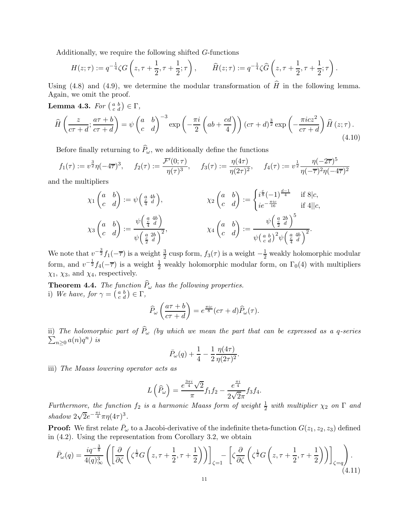Additionally, we require the following shifted G-functions

$$
H(z;\tau) := q^{-\frac{1}{4}} \zeta G\left(z, \tau + \frac{1}{2}, \tau + \frac{1}{2}; \tau\right), \qquad \widehat{H}(z;\tau) := q^{-\frac{1}{4}} \zeta \widehat{G}\left(z, \tau + \frac{1}{2}, \tau + \frac{1}{2}; \tau\right).
$$

Using (4.8) and (4.9), we determine the modular transformation of  $\hat{H}$  in the following lemma. Again, we omit the proof.

**Lemma 4.3.** For  $\begin{pmatrix} a & b \\ c & d \end{pmatrix} \in \Gamma$ ,

$$
\widehat{H}\left(\frac{z}{c\tau+d};\frac{a\tau+b}{c\tau+d}\right) = \psi \begin{pmatrix} a & b \\ c & d \end{pmatrix}^{-3} \exp\left(-\frac{\pi i}{2}\left(ab+\frac{cd}{4}\right)\right) (c\tau+d)^{\frac{3}{2}} \exp\left(-\frac{\pi i cz^2}{c\tau+d}\right) \widehat{H}\left(z;\tau\right). \tag{4.10}
$$

Before finally returning to  $\widehat{P}_\omega$ , we additionally define the functions

$$
f_1(\tau) := v^{\frac{3}{2}} \eta(-4\overline{\tau})^3, \quad f_2(\tau) := \frac{\mathcal{F}'(0; \tau)}{\eta(\tau)^3}, \quad f_3(\tau) := \frac{\eta(4\tau)}{\eta(2\tau)^2}, \quad f_4(\tau) := v^{\frac{1}{2}} \frac{\eta(-2\overline{\tau})^5}{\eta(-\overline{\tau})^2 \eta(-4\overline{\tau})^2}
$$

and the multipliers

$$
\chi_1 \begin{pmatrix} a & b \\ c & d \end{pmatrix} := \psi \begin{pmatrix} a & 4b \\ \frac{c}{4} & d \end{pmatrix}, \qquad \chi_2 \begin{pmatrix} a & b \\ c & d \end{pmatrix} := \begin{cases} i^{\frac{c}{8}}(-1)^{\frac{d-1}{4}} & \text{if } 8|c, \\ ie^{-\frac{\pi i c}{16}} & \text{if } 4||c, \end{cases}
$$

$$
\chi_3 \begin{pmatrix} a & b \\ c & d \end{pmatrix} := \frac{\psi \begin{pmatrix} a & 4b \\ \frac{c}{2} & d \end{pmatrix}}{\psi \begin{pmatrix} \frac{a}{2} & 2b \\ \frac{c}{2} & d \end{pmatrix}^2}, \qquad \chi_4 \begin{pmatrix} a & b \\ c & d \end{pmatrix} := \frac{\psi \begin{pmatrix} a & 2b \\ \frac{c}{2} & d \end{pmatrix}^5}{\psi \begin{pmatrix} a & b \\ c & d \end{pmatrix}^2 \psi \begin{pmatrix} \frac{a}{2} & 4b \\ \frac{c}{4} & d \end{pmatrix}^2}.
$$

We note that  $v^{-\frac{3}{2}}f_1(-\overline{\tau})$  is a weight  $\frac{3}{2}$  cusp form,  $f_3(\tau)$  is a weight  $-\frac{1}{2}$  weakly holomorphic modular form, and  $v^{-\frac{1}{2}}f_4(-\overline{\tau})$  is a weight  $\frac{1}{2}$  weakly holomorphic modular form, on  $\Gamma_0(4)$  with multipliers  $\chi_1, \chi_3$ , and  $\chi_4$ , respectively.

**Theorem 4.4.** The function  $P_\omega$  has the following properties. i) We have, for  $\gamma = \begin{pmatrix} a & b \\ c & d \end{pmatrix} \in \Gamma$ ,

$$
\widehat{P}_{\omega}\left(\frac{a\tau+b}{c\tau+d}\right) = e^{\frac{\pi i c}{8}}(c\tau+d)\widehat{P}_{\omega}(\tau).
$$

ii) The holomorphic part of  $\widehat{P}_{\omega}$  (by which we mean the part that can be expressed as a q-series  $n \geq 0$   $a(n)q^n$ ) is

$$
\bar{P}_{\omega}(q) + \frac{1}{4} - \frac{1}{2} \frac{\eta(4\tau)}{\eta(2\tau)^2}.
$$

iii) The Maass lowering operator acts as

$$
L\left(\widehat{P}_{\omega}\right) = \frac{e^{\frac{3\pi i}{4}}\sqrt{2}}{\pi}f_1f_2 - \frac{e^{\frac{\pi i}{4}}}{2\sqrt{2}\pi}f_3f_4.
$$

Furthermore, the function  $f_2$  is a harmonic Maass form of weight  $\frac{1}{2}$  with multiplier  $\chi_2$  on  $\Gamma$  and shadow  $2\sqrt{2}e^{-\frac{\pi i}{4}}\pi\eta(4\tau)^3$ .

**Proof:** We first relate  $\bar{P}_{\omega}$  to a Jacobi-derivative of the indefinite theta-function  $G(z_1, z_2, z_3)$  defined in (4.2). Using the representation from Corollary 3.2, we obtain

$$
\bar{P}_{\omega}(q) = \frac{iq^{-\frac{3}{8}}}{4(q)_{\infty}^{3}} \left( \left[ \frac{\partial}{\partial \zeta} \left( \zeta^{\frac{1}{2}} G\left(z, \tau + \frac{1}{2}, \tau + \frac{1}{2} \right) \right) \right]_{\zeta=1} - \left[ \zeta \frac{\partial}{\partial \zeta} \left( \zeta^{\frac{1}{2}} G\left(z, \tau + \frac{1}{2}, \tau + \frac{1}{2} \right) \right) \right]_{\zeta=q} \right). \tag{4.11}
$$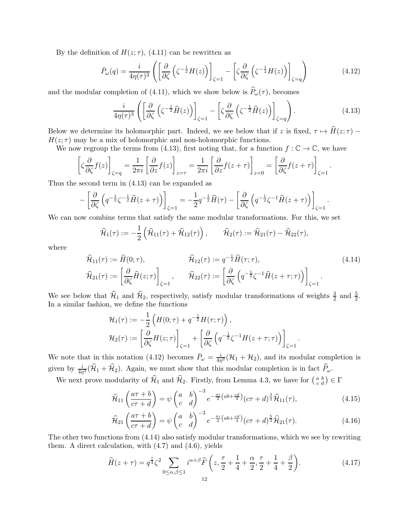By the definition of  $H(z; \tau)$ , (4.11) can be rewritten as

$$
\bar{P}_{\omega}(q) = \frac{i}{4\eta(\tau)^3} \left( \left[ \frac{\partial}{\partial \zeta} \left( \zeta^{-\frac{1}{2}} H(z) \right) \right]_{\zeta=1} - \left[ \zeta \frac{\partial}{\partial \zeta} \left( \zeta^{-\frac{1}{2}} H(z) \right) \right]_{\zeta=q} \right) \tag{4.12}
$$

and the modular completion of (4.11), which we show below is  $\hat{P}_{\omega}(\tau)$ , becomes

$$
\frac{i}{4\eta(\tau)^3} \left( \left[ \frac{\partial}{\partial \zeta} \left( \zeta^{-\frac{1}{2}} \widehat{H}(z) \right) \right]_{\zeta=1} - \left[ \zeta \frac{\partial}{\partial \zeta} \left( \zeta^{-\frac{1}{2}} \widehat{H}(z) \right) \right]_{\zeta=q} \right). \tag{4.13}
$$

Below we determine its holomorphic part. Indeed, we see below that if z is fixed,  $\tau \mapsto H(z; \tau)$  –  $H(z; \tau)$  may be a mix of holomorphic and non-holomorphic functions.

We now regroup the terms from (4.13), first noting that, for a function  $f : \mathbb{C} \to \mathbb{C}$ , we have

$$
\left[\zeta \frac{\partial}{\partial \zeta} f(z)\right]_{\zeta=q} = \frac{1}{2\pi i} \left[\frac{\partial}{\partial z} f(z)\right]_{z=\tau} = \frac{1}{2\pi i} \left[\frac{\partial}{\partial z} f(z+\tau)\right]_{z=0} = \left[\frac{\partial}{\partial \zeta} f(z+\tau)\right]_{\zeta=1}.
$$

Thus the second term in (4.13) can be expanded as

$$
-\left[\frac{\partial}{\partial \zeta}\left(q^{-\frac{1}{2}}\zeta^{-\frac{1}{2}}\widehat{H}(z+\tau)\right)\right]_{\zeta=1}=-\frac{1}{2}q^{-\frac{1}{2}}\widehat{H}(\tau)-\left[\frac{\partial}{\partial \zeta}\left(q^{-\frac{1}{2}}\zeta^{-1}\widehat{H}(z+\tau)\right)\right]_{\zeta=1}.
$$

We can now combine terms that satisfy the same modular transformations. For this, we set

$$
\widehat{H}_1(\tau) := -\frac{1}{2} \left( \widehat{H}_{11}(\tau) + \widehat{H}_{12}(\tau) \right), \qquad \widehat{H}_2(\tau) := \widehat{H}_{21}(\tau) - \widehat{H}_{22}(\tau),
$$

where

$$
\widehat{\mathcal{H}}_{11}(\tau) := \widehat{H}(0; \tau), \qquad \widehat{\mathcal{H}}_{12}(\tau) := q^{-\frac{1}{2}} \widehat{H}(\tau; \tau), \qquad (4.14)
$$
\n
$$
\widehat{\mathcal{H}}_{21}(\tau) := \left[ \frac{\partial}{\partial \zeta} \widehat{H}(z; \tau) \right]_{\zeta=1}, \qquad \widehat{\mathcal{H}}_{22}(\tau) := \left[ \frac{\partial}{\partial \zeta} \left( q^{-\frac{1}{2}} \zeta^{-1} \widehat{H}(z + \tau; \tau) \right) \right]_{\zeta=1} .
$$

We see below that  $\widehat{\mathcal{H}}_1$  and  $\widehat{\mathcal{H}}_2$ , respectively, satisfy modular transformations of weights  $\frac{3}{2}$  $\frac{3}{2}$  and  $\frac{5}{2}$ . In a similar fashion, we define the functions

$$
\mathcal{H}_1(\tau) := -\frac{1}{2} \left( H(0; \tau) + q^{-\frac{1}{2}} H(\tau; \tau) \right),
$$
  

$$
\mathcal{H}_2(\tau) := \left[ \frac{\partial}{\partial \zeta} H(z; \tau) \right]_{\zeta=1} + \left[ \frac{\partial}{\partial \zeta} \left( q^{-\frac{1}{2}} \zeta^{-1} H(z + \tau; \tau) \right) \right]_{\zeta=1}.
$$

We note that in this notation (4.12) becomes  $\bar{P}_{\omega} = \frac{i}{4\pi}$  $\frac{i}{4\eta^3}(\mathcal{H}_1+\mathcal{H}_2)$ , and its modular completion is given by  $\frac{i}{4\eta^3}(\hat{\mathcal{H}}_1 + \hat{\mathcal{H}}_2)$ . Again, we must show that this modular completion is in fact  $\hat{P}_\omega$ .

We next prove modularity of  $\hat{\mathcal{H}}_1$  and  $\hat{\mathcal{H}}_2$ . Firstly, from Lemma 4.3, we have for  $\begin{pmatrix} a & b \\ c & d \end{pmatrix} \in \Gamma$ 

$$
\widehat{\mathcal{H}}_{11}\left(\frac{a\tau+b}{c\tau+d}\right) = \psi \begin{pmatrix} a & b \\ c & d \end{pmatrix}^{-3} e^{-\frac{\pi i}{2}\left(ab+\frac{cd}{4}\right)} \left(c\tau+d\right)^{\frac{3}{2}} \widehat{\mathcal{H}}_{11}(\tau),\tag{4.15}
$$

$$
\widehat{\mathcal{H}}_{21}\left(\frac{a\tau+b}{c\tau+d}\right) = \psi\left(\begin{matrix} a & b \\ c & d \end{matrix}\right)^{-3} e^{-\frac{\pi i}{2}\left(ab+\frac{cd}{4}\right)}(c\tau+d)^{\frac{5}{2}}\widehat{\mathcal{H}}_{21}(\tau). \tag{4.16}
$$

The other two functions from (4.14) also satisfy modular transformations, which we see by rewriting them. A direct calculation, with  $(4.7)$  and  $(4.6)$ , yields

$$
\widehat{H}(z+\tau) = q^{\frac{1}{4}}\zeta^2 \sum_{0 \le \alpha, \beta \le 1} i^{\alpha+\beta} \widehat{F}\left(z, \frac{\tau}{2} + \frac{1}{4} + \frac{\alpha}{2}, \frac{\tau}{2} + \frac{1}{4} + \frac{\beta}{2}\right).
$$
(4.17)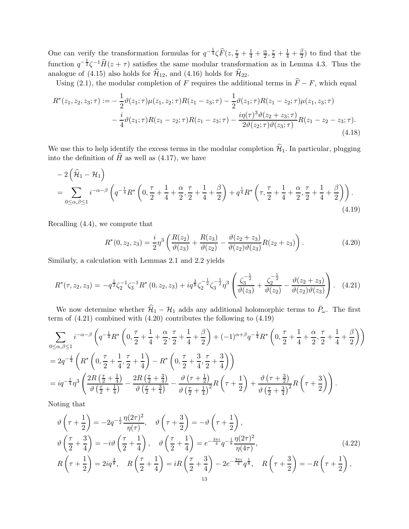One can verify the transformation formulas for  $q^{-\frac{1}{4}}\zeta \widehat{F}(z, \frac{\tau}{2} + \frac{1}{4} + \frac{\alpha}{2})$  $\frac{\alpha}{2}, \frac{\tau}{2} + \frac{1}{4} + \frac{\beta}{2}$  $(\frac{\rho}{2})$  to find that the function  $q^{-\frac{1}{2}}\zeta^{-1}\widehat{H}(z+\tau)$  satisfies the same modular transformation as in Lemma 4.3. Thus the analogue of (4.15) also holds for  $\hat{\mathcal{H}}_{12}$ , and (4.16) holds for  $\hat{\mathcal{H}}_{22}$ .

Using (2.1), the modular completion of F requires the additional terms in  $\hat{F} - F$ , which equal

$$
R^*(z_1, z_2, z_3; \tau) := -\frac{1}{2}\vartheta(z_1; \tau)\mu(z_1, z_2; \tau)R(z_1 - z_3; \tau) - \frac{1}{2}\vartheta(z_1; \tau)R(z_1 - z_2; \tau)\mu(z_1, z_3; \tau) - \frac{i}{4}\vartheta(z_1; \tau)R(z_1 - z_2; \tau)R(z_1 - z_3; \tau) - \frac{i\eta(\tau)^3\vartheta(z_2 + z_3; \tau)}{2\vartheta(z_2; \tau)\vartheta(z_3; \tau)}R(z_1 - z_2 - z_3; \tau).
$$
\n(4.18)

We use this to help identify the excess terms in the modular completion  $\mathcal{H}_1$ . In particular, plugging into the definition of  $H$  as well as  $(4.17)$ , we have

$$
-2\left(\widehat{\mathcal{H}}_1 - \mathcal{H}_1\right)
$$
  
= 
$$
\sum_{0 \le \alpha, \beta \le 1} i^{-\alpha-\beta} \left( q^{-\frac{1}{4}} R^* \left( 0, \frac{\tau}{2} + \frac{1}{4} + \frac{\alpha}{2}, \frac{\tau}{2} + \frac{1}{4} + \frac{\beta}{2} \right) + q^{\frac{1}{4}} R^* \left( \tau, \frac{\tau}{2} + \frac{1}{4} + \frac{\alpha}{2}, \frac{\tau}{2} + \frac{1}{4} + \frac{\beta}{2} \right) \right).
$$
  
(4.19)

Recalling (4.4), we compute that

$$
R^*(0, z_2, z_3) = \frac{i}{2}\eta^3 \left(\frac{R(z_2)}{\vartheta(z_3)} + \frac{R(z_3)}{\vartheta(z_2)} - \frac{\vartheta(z_2 + z_3)}{\vartheta(z_2)\vartheta(z_3)}R(z_2 + z_3)\right).
$$
 (4.20)

Similarly, a calculation with Lemmas 2.1 and 2.2 yields

$$
R^*(\tau, z_2, z_3) = -q^{\frac{1}{2}} \zeta_2^{-1} \zeta_3^{-1} R^*(0, z_2, z_3) + i q^{\frac{3}{8}} \zeta_2^{-\frac{1}{2}} \zeta_3^{-\frac{1}{2}} \eta^3 \left( \frac{\zeta_3^{-\frac{1}{2}}}{\vartheta(z_3)} + \frac{\zeta_2^{-\frac{1}{2}}}{\vartheta(z_2)} - \frac{\vartheta(z_2 + z_3)}{\vartheta(z_2)\vartheta(z_3)} \right). \tag{4.21}
$$

We now determine whether  $\hat{\mathcal{H}}_1 - \mathcal{H}_1$  adds any additional holomorphic terms to  $\bar{P}_\omega$ . The first term of (4.21) combined with (4.20) contributes the following to (4.19)

$$
\sum_{0 \le \alpha, \beta \le 1} i^{-\alpha-\beta} \left( q^{-\frac{1}{4}} R^* \left( 0, \frac{\tau}{2} + \frac{1}{4} + \frac{\alpha}{2}, \frac{\tau}{2} + \frac{1}{4} + \frac{\beta}{2} \right) + (-1)^{\alpha+\beta} q^{-\frac{1}{4}} R^* \left( 0, \frac{\tau}{2} + \frac{1}{4} + \frac{\alpha}{2}, \frac{\tau}{2} + \frac{1}{4} + \frac{\beta}{2} \right) \right)
$$
  
=  $2q^{-\frac{1}{4}} \left( R^* \left( 0, \frac{\tau}{2} + \frac{1}{4}, \frac{\tau}{2} + \frac{1}{4} \right) - R^* \left( 0, \frac{\tau}{2} + \frac{3}{4}, \frac{\tau}{2} + \frac{3}{4} \right) \right)$   
=  $iq^{-\frac{1}{4}} \eta^3 \left( \frac{2R \left( \frac{\tau}{2} + \frac{1}{4} \right)}{\vartheta \left( \frac{\tau}{2} + \frac{1}{4} \right)} - \frac{2R \left( \frac{\tau}{2} + \frac{3}{4} \right)}{\vartheta \left( \frac{\tau}{2} + \frac{3}{4} \right)} - \frac{\vartheta \left( \tau + \frac{1}{2} \right)}{\vartheta \left( \frac{\tau}{2} + \frac{1}{4} \right)^2} R \left( \tau + \frac{1}{2} \right) + \frac{\vartheta \left( \tau + \frac{3}{2} \right)}{\vartheta \left( \frac{\tau}{2} + \frac{3}{4} \right)^2} R \left( \tau + \frac{3}{2} \right) \right).$ 

Noting that

$$
\vartheta\left(\tau + \frac{1}{2}\right) = -2q^{-\frac{1}{2}} \frac{\eta(2\tau)^2}{\eta(\tau)}, \quad \vartheta\left(\tau + \frac{3}{2}\right) = -\vartheta\left(\tau + \frac{1}{2}\right),
$$
\n
$$
\vartheta\left(\frac{\tau}{2} + \frac{3}{4}\right) = -i\vartheta\left(\frac{\tau}{2} + \frac{1}{4}\right), \quad \vartheta\left(\frac{\tau}{2} + \frac{1}{4}\right) = e^{-\frac{3\pi i}{4}} q^{-\frac{1}{8}} \frac{\eta(2\tau)^2}{\eta(4\tau)},
$$
\n
$$
R\left(\tau + \frac{1}{2}\right) = 2iq^{\frac{3}{8}}, \quad R\left(\frac{\tau}{2} + \frac{1}{4}\right) = iR\left(\frac{\tau}{2} + \frac{3}{4}\right) - 2e^{-\frac{3\pi i}{4}} q^{\frac{1}{8}}, \quad R\left(\tau + \frac{3}{2}\right) = -R\left(\tau + \frac{1}{2}\right),
$$
\n(4.22)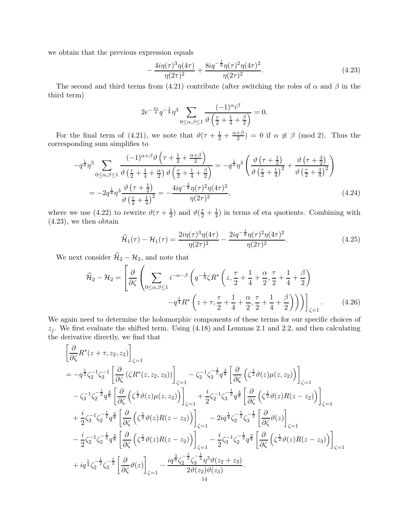we obtain that the previous expression equals

$$
-\frac{4i\eta(\tau)^3\eta(4\tau)}{\eta(2\tau)^2} + \frac{8iq^{-\frac{1}{8}}\eta(\tau)^2\eta(4\tau)^2}{\eta(2\tau)^2}.
$$
\n(4.23)

The second and third terms from (4.21) contribute (after switching the roles of  $\alpha$  and  $\beta$  in the third term)

$$
2e^{-\frac{\pi i}{4}}q^{-\frac{1}{8}}\eta^3\sum_{0\le\alpha,\beta\le 1}\frac{(-1)^{\alpha}i^{\beta}}{\vartheta\left(\frac{\tau}{2}+\frac{1}{4}+\frac{\beta}{2}\right)}=0.
$$

For the final term of (4.21), we note that  $\vartheta(\tau + \frac{1}{2} + \frac{\alpha + \beta}{2})$  $\frac{+\beta}{2}$  = 0 if  $\alpha \not\equiv \beta \pmod{2}$ . Thus the corresponding sum simplifies to

$$
-q^{\frac{1}{8}}\eta^{3} \sum_{0\leq\alpha,\beta\leq1} \frac{(-1)^{\alpha+\beta}\vartheta\left(\tau+\frac{1}{2}+\frac{\alpha+\beta}{2}\right)}{\vartheta\left(\frac{\tau}{2}+\frac{1}{4}+\frac{\alpha}{2}\right)\vartheta\left(\frac{\tau}{2}+\frac{1}{4}+\frac{\beta}{2}\right)} = -q^{\frac{1}{8}}\eta^{3}\left(\frac{\vartheta\left(\tau+\frac{1}{2}\right)}{\vartheta\left(\frac{\tau}{2}+\frac{1}{4}\right)^{2}}+\frac{\vartheta\left(\tau+\frac{3}{2}\right)}{\vartheta\left(\frac{\tau}{2}+\frac{3}{4}\right)^{2}}\right)
$$

$$
= -2q^{\frac{1}{8}}\eta^{3}\frac{\vartheta\left(\tau+\frac{1}{2}\right)}{\vartheta\left(\frac{\tau}{2}+\frac{1}{4}\right)^{2}} = -\frac{4iq^{-\frac{1}{8}}\eta(\tau)^{2}\eta(4\tau)^{2}}{\eta(2\tau)^{2}},\tag{4.24}
$$

where we use (4.22) to rewrite  $\vartheta(\tau + \frac{1}{2})$  $\frac{1}{2}$ ) and  $\vartheta(\frac{\tau}{2} + \frac{1}{4})$  $\frac{1}{4}$ ) in terms of eta quotients. Combining with (4.23), we then obtain

$$
\widehat{\mathcal{H}}_1(\tau) - \mathcal{H}_1(\tau) = \frac{2i\eta(\tau)^3\eta(4\tau)}{\eta(2\tau)^2} - \frac{2iq^{-\frac{1}{8}}\eta(\tau)^2\eta(4\tau)^2}{\eta(2\tau)^2}.
$$
\n(4.25)

We next consider  $\widehat{\mathcal{H}}_2 - \mathcal{H}_2$ , and note that

$$
\widehat{\mathcal{H}}_2 - \mathcal{H}_2 = \left[ \frac{\partial}{\partial \zeta} \left( \sum_{0 \le \alpha, \beta \le 1} i^{-\alpha - \beta} \left( q^{-\frac{1}{4}} \zeta R^* \left( z, \frac{\tau}{2} + \frac{1}{4} + \frac{\alpha}{2}, \frac{\tau}{2} + \frac{1}{4} + \frac{\beta}{2} \right) - q^{\frac{1}{4}} R^* \left( z + \tau, \frac{\tau}{2} + \frac{1}{4} + \frac{\alpha}{2}, \frac{\tau}{2} + \frac{1}{4} + \frac{\beta}{2} \right) \right) \right) \Big|_{\zeta = 1} . \tag{4.26}
$$

We again need to determine the holomorphic components of these terms for our specific choices of  $z_j$ . We first evaluate the shifted term. Using (4.18) and Lemmas 2.1 and 2.2, and then calculating the derivative directly, we find that

$$
\begin{split}\n&\left[\frac{\partial}{\partial\zeta}R^{*}(z+\tau,z_{2},z_{3})\right]_{\zeta=1} \\
&=-q^{\frac{1}{2}}\zeta_{2}^{-1}\zeta_{3}^{-1}\left[\frac{\partial}{\partial\zeta}\left(\zeta R^{*}(z,z_{2},z_{3})\right)\right]_{\zeta=1} - \zeta_{2}^{-1}\zeta_{3}^{-\frac{1}{2}}q^{\frac{3}{8}}\left[\frac{\partial}{\partial\zeta}\left(\zeta^{\frac{1}{2}}\vartheta(z)\mu(z,z_{2})\right)\right]_{\zeta=1} \\
&-\zeta_{3}^{-1}\zeta_{2}^{-\frac{1}{2}}q^{\frac{3}{8}}\left[\frac{\partial}{\partial\zeta}\left(\zeta^{\frac{1}{2}}\vartheta(z)\mu(z,z_{3})\right)\right]_{\zeta=1} + \frac{i}{2}\zeta_{2}^{-1}\zeta_{3}^{-\frac{1}{2}}q^{\frac{3}{8}}\left[\frac{\partial}{\partial\zeta}\left(\zeta^{\frac{1}{2}}\vartheta(z)R(z-z_{2})\right)\right]_{\zeta=1} \\
&+\frac{i}{2}\zeta_{3}^{-1}\zeta_{2}^{-\frac{1}{2}}q^{\frac{3}{8}}\left[\frac{\partial}{\partial\zeta}\left(\zeta^{\frac{1}{2}}\vartheta(z)R(z-z_{3})\right)\right]_{\zeta=1} - 2iq^{\frac{1}{4}}\zeta_{2}^{-\frac{1}{2}}\zeta_{3}^{-\frac{1}{2}}\left[\frac{\partial}{\partial\zeta}\vartheta(z)\right]_{\zeta=1} \\
&-\frac{i}{2}\zeta_{2}^{-1}\zeta_{3}^{-\frac{1}{2}}q^{\frac{3}{8}}\left[\frac{\partial}{\partial\zeta}\left(\zeta^{\frac{1}{2}}\vartheta(z)R(z-z_{2})\right)\right]_{\zeta=1} - \frac{i}{2}\zeta_{3}^{-1}\zeta_{2}^{-\frac{1}{2}}q^{\frac{3}{8}}\left[\frac{\partial}{\partial\zeta}\left(\zeta^{\frac{1}{2}}\vartheta(z)R(z-z_{3})\right)\right]_{\zeta=1} \\
&+ iq^{\frac{1}{4}}\zeta_{2}^{-\frac{1}{2}}\zeta_{3}^{-\frac{1}{2}}\left[\frac{\partial}{\partial\zeta}\vartheta(z)\right]_{\zeta=1} - \frac{iq^{\frac{3
$$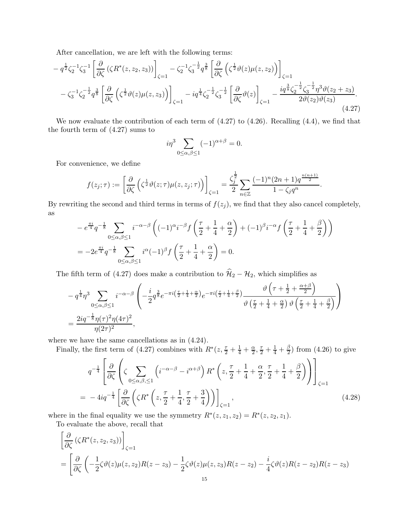After cancellation, we are left with the following terms:

$$
- q^{\frac{1}{2}} \zeta_2^{-1} \zeta_3^{-1} \left[ \frac{\partial}{\partial \zeta} \left( \zeta R^*(z, z_2, z_3) \right) \right]_{\zeta=1} - \zeta_2^{-1} \zeta_3^{-\frac{1}{2}} q^{\frac{3}{8}} \left[ \frac{\partial}{\partial \zeta} \left( \zeta^{\frac{1}{2}} \vartheta(z) \mu(z, z_2) \right) \right]_{\zeta=1} - \zeta_3^{-1} \zeta_2^{-\frac{1}{2}} q^{\frac{3}{8}} \left[ \frac{\partial}{\partial \zeta} \left( \zeta^{\frac{1}{2}} \vartheta(z) \mu(z, z_3) \right) \right]_{\zeta=1} - iq^{\frac{1}{4}} \zeta_2^{-\frac{1}{2}} \zeta_3^{-\frac{1}{2}} \left[ \frac{\partial}{\partial \zeta} \vartheta(z) \right]_{\zeta=1} - \frac{i q^{\frac{3}{8}} \zeta_2^{-\frac{1}{2}} \zeta_3^{-\frac{1}{2}} \eta^3 \vartheta(z_2 + z_3)}{2 \vartheta(z_2) \vartheta(z_3)}.
$$
\n(4.27)

We now evaluate the contribution of each term of (4.27) to (4.26). Recalling (4.4), we find that the fourth term of (4.27) sums to

$$
i\eta^3 \sum_{0 \le \alpha, \beta \le 1} (-1)^{\alpha + \beta} = 0.
$$

For convenience, we define

$$
f(z_j;\tau) := \left[\frac{\partial}{\partial \zeta} \left(\zeta^{\frac{1}{2}} \vartheta(z;\tau) \mu(z,z_j;\tau)\right)\right]_{\zeta=1} = \frac{\zeta_j^{\frac{1}{2}}}{2} \sum_{n \in \mathbb{Z}} \frac{(-1)^n (2n+1) q^{\frac{n(n+1)}{2}}}{1 - \zeta_j q^n}
$$

.

By rewriting the second and third terms in terms of  $f(z_j)$ , we find that they also cancel completely, as

$$
-e^{\frac{\pi i}{4}}q^{-\frac{1}{8}}\sum_{0\le\alpha,\beta\le 1}i^{-\alpha-\beta}\left((-1)^{\alpha}i^{-\beta}f\left(\frac{\tau}{2}+\frac{1}{4}+\frac{\alpha}{2}\right)+(-1)^{\beta}i^{-\alpha}f\left(\frac{\tau}{2}+\frac{1}{4}+\frac{\beta}{2}\right)\right)
$$
  
=  $-2e^{\frac{\pi i}{4}}q^{-\frac{1}{8}}\sum_{0\le\alpha,\beta\le 1}i^{\alpha}(-1)^{\beta}f\left(\frac{\tau}{2}+\frac{1}{4}+\frac{\alpha}{2}\right)=0.$ 

The fifth term of (4.27) does make a contribution to  $\hat{H}_2 - H_2$ , which simplifies as

$$
- q^{\frac{1}{4}} \eta^3 \sum_{0 \le \alpha, \beta \le 1} i^{-\alpha - \beta} \left( -\frac{i}{2} q^{\frac{3}{8}} e^{-\pi i \left(\frac{\tau}{2} + \frac{1}{4} + \frac{\alpha}{2}\right)} e^{-\pi i \left(\frac{\tau}{2} + \frac{1}{4} + \frac{\beta}{2}\right)} \frac{\vartheta \left(\tau + \frac{1}{2} + \frac{\alpha + \beta}{2}\right)}{\vartheta \left(\frac{\tau}{2} + \frac{1}{4} + \frac{\alpha}{2}\right) \vartheta \left(\frac{\tau}{2} + \frac{1}{4} + \frac{\beta}{2}\right)} \right)
$$
  
= 
$$
\frac{2i q^{-\frac{1}{8}} \eta(\tau)^2 \eta(4\tau)^2}{\eta(2\tau)^2},
$$

where we have the same cancellations as in  $(4.24)$ .

Finally, the first term of (4.27) combines with  $R^*(z, \frac{\tau}{2} + \frac{1}{4} + \frac{\alpha}{2})$  $\frac{\alpha}{2}, \frac{\tau}{2} + \frac{1}{4} + \frac{\beta}{2}$  $\frac{1}{2}$ ) from (4.26) to give

$$
q^{-\frac{1}{4}} \left[ \frac{\partial}{\partial \zeta} \left( \zeta \sum_{0 \le \alpha, \beta, \le 1} \left( i^{-\alpha - \beta} - i^{\alpha + \beta} \right) R^* \left( z, \frac{\tau}{2} + \frac{1}{4} + \frac{\alpha}{2}, \frac{\tau}{2} + \frac{1}{4} + \frac{\beta}{2} \right) \right) \right]_{\zeta = 1}
$$
  
= 
$$
-4iq^{-\frac{1}{4}} \left[ \frac{\partial}{\partial \zeta} \left( \zeta R^* \left( z, \frac{\tau}{2} + \frac{1}{4}, \frac{\tau}{2} + \frac{3}{4} \right) \right) \right]_{\zeta = 1},
$$
(4.28)

where in the final equality we use the symmetry  $R^*(z, z_1, z_2) = R^*(z, z_2, z_1)$ .

To evaluate the above, recall that

$$
\[\frac{\partial}{\partial \zeta} (\zeta R^*(z, z_2, z_3))\]_{\zeta=1}
$$
\n
$$
= \left[\frac{\partial}{\partial \zeta} \left(-\frac{1}{2} \zeta \vartheta(z) \mu(z, z_2) R(z - z_3) - \frac{1}{2} \zeta \vartheta(z) \mu(z, z_3) R(z - z_2) - \frac{i}{4} \zeta \vartheta(z) R(z - z_2) R(z - z_3) \right)\right]
$$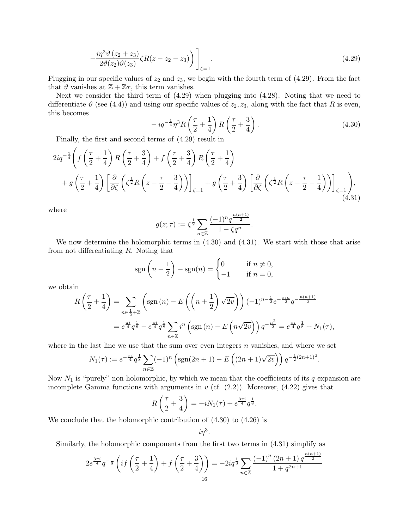$$
-\frac{i\eta^3\vartheta(z_2+z_3)}{2\vartheta(z_2)\vartheta(z_3)}\zeta R(z-z_2-z_3)\bigg)\bigg]_{\zeta=1}.\tag{4.29}
$$

Plugging in our specific values of  $z_2$  and  $z_3$ , we begin with the fourth term of  $(4.29)$ . From the fact that  $\vartheta$  vanishes at  $\mathbb{Z} + \mathbb{Z}\tau$ , this term vanishes.

Next we consider the third term of (4.29) when plugging into (4.28). Noting that we need to differentiate  $\vartheta$  (see (4.4)) and using our specific values of  $z_2, z_3$ , along with the fact that R is even, this becomes

$$
-iq^{-\frac{1}{4}}\eta^3 R\left(\frac{\tau}{2} + \frac{1}{4}\right) R\left(\frac{\tau}{2} + \frac{3}{4}\right). \tag{4.30}
$$

.

Finally, the first and second terms of (4.29) result in

$$
2iq^{-\frac{1}{4}}\left(f\left(\frac{\tau}{2}+\frac{1}{4}\right)R\left(\frac{\tau}{2}+\frac{3}{4}\right)+f\left(\frac{\tau}{2}+\frac{3}{4}\right)R\left(\frac{\tau}{2}+\frac{1}{4}\right)\right) + g\left(\frac{\tau}{2}+\frac{1}{4}\right)\left[\frac{\partial}{\partial\zeta}\left(\zeta^{\frac{1}{2}}R\left(z-\frac{\tau}{2}-\frac{3}{4}\right)\right)\right]_{\zeta=1} + g\left(\frac{\tau}{2}+\frac{3}{4}\right)\left[\frac{\partial}{\partial\zeta}\left(\zeta^{\frac{1}{2}}R\left(z-\frac{\tau}{2}-\frac{1}{4}\right)\right)\right]_{\zeta=1}),
$$
\n(4.31)

where

$$
g(z;\tau) := \zeta^{\frac{1}{2}} \sum_{n \in \mathbb{Z}} \frac{(-1)^n q^{\frac{n(n+1)}{2}}}{1 - \zeta q^n}.
$$

We now determine the holomorphic terms in (4.30) and (4.31). We start with those that arise from not differentiating R. Noting that

$$
sgn\left(n-\frac{1}{2}\right) - sgn(n) = \begin{cases} 0 & \text{if } n \neq 0, \\ -1 & \text{if } n = 0, \end{cases}
$$

we obtain

$$
R\left(\frac{\tau}{2} + \frac{1}{4}\right) = \sum_{n \in \frac{1}{2} + \mathbb{Z}} \left(\text{sgn}\left(n\right) - E\left(\left(n + \frac{1}{2}\right)\sqrt{2v}\right)\right) (-1)^{n - \frac{1}{2}} e^{-\frac{\pi in}{2}} q^{-\frac{n(n+1)}{2}}
$$
  
=  $e^{\frac{\pi i}{4}} q^{\frac{1}{8}} - e^{\frac{\pi i}{4}} q^{\frac{1}{8}} \sum_{n \in \mathbb{Z}} i^n \left(\text{sgn}\left(n\right) - E\left(n\sqrt{2v}\right)\right) q^{-\frac{n^2}{2}} = e^{\frac{\pi i}{4}} q^{\frac{1}{8}} + N_1(\tau),$ 

where in the last line we use that the sum over even integers  $n$  vanishes, and where we set

$$
N_1(\tau) := e^{-\frac{\pi i}{4}} q^{\frac{1}{8}} \sum_{n \in \mathbb{Z}} (-1)^n \left( \text{sgn}(2n+1) - E\left( (2n+1)\sqrt{2v} \right) \right) q^{-\frac{1}{2}(2n+1)^2}
$$

Now  $N_1$  is "purely" non-holomorphic, by which we mean that the coefficients of its q-expansion are incomplete Gamma functions with arguments in  $v$  (cf.  $(2.2)$ ). Moreover,  $(4.22)$  gives that

$$
R\left(\frac{\tau}{2} + \frac{3}{4}\right) = -iN_1(\tau) + e^{\frac{3\pi i}{4}}q^{\frac{1}{8}}.
$$

We conclude that the holomorphic contribution of (4.30) to (4.26) is

$$
i\eta^3.
$$

Similarly, the holomorphic components from the first two terms in (4.31) simplify as

$$
2e^{\frac{3\pi i}{4}}q^{-\frac{1}{8}}\left(if\left(\frac{\tau}{2}+\frac{1}{4}\right)+f\left(\frac{\tau}{2}+\frac{3}{4}\right)\right)=-2iq^{\frac{1}{8}}\sum_{n\in\mathbb{Z}}\frac{(-1)^{n}(2n+1)q^{\frac{n(n+1)}{2}}}{1+q^{2n+1}}
$$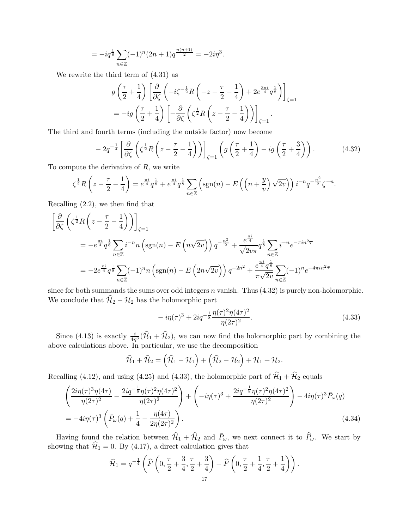$$
= -iq^{\frac{1}{8}} \sum_{n \in \mathbb{Z}} (-1)^n (2n+1) q^{\frac{n(n+1)}{2}} = -2i\eta^3.
$$

We rewrite the third term of (4.31) as

$$
g\left(\frac{\tau}{2} + \frac{1}{4}\right) \left[\frac{\partial}{\partial \zeta} \left(-i\zeta^{-\frac{1}{2}} R\left(-z - \frac{\tau}{2} - \frac{1}{4}\right) + 2e^{\frac{3\pi i}{4}} q^{\frac{1}{8}}\right)\right]_{\zeta=1}
$$
  
= 
$$
-ig\left(\frac{\tau}{2} + \frac{1}{4}\right) \left[-\frac{\partial}{\partial \zeta} \left(\zeta^{\frac{1}{2}} R\left(z - \frac{\tau}{2} - \frac{1}{4}\right)\right)\right]_{\zeta=1}.
$$

The third and fourth terms (including the outside factor) now become

$$
-2q^{-\frac{1}{4}}\left[\frac{\partial}{\partial \zeta}\left(\zeta^{\frac{1}{2}}R\left(z-\frac{\tau}{2}-\frac{1}{4}\right)\right)\right]_{\zeta=1}\left(g\left(\frac{\tau}{2}+\frac{1}{4}\right)-ig\left(\frac{\tau}{2}+\frac{3}{4}\right)\right).
$$
 (4.32)

To compute the derivative of R, we write

$$
\zeta^{\frac{1}{2}}R\left(z-\frac{\tau}{2}-\frac{1}{4}\right) = e^{\frac{\pi i}{4}}q^{\frac{1}{8}} + e^{\frac{\pi i}{4}}q^{\frac{1}{8}}\sum_{n\in\mathbb{Z}}\left(\text{sgn}(n)-E\left(\left(n+\frac{y}{v}\right)\sqrt{2v}\right)\right)i^{-n}q^{-\frac{n^2}{2}}\zeta^{-n}.
$$

Recalling (2.2), we then find that

$$
\begin{split}\n&\left[\frac{\partial}{\partial \zeta} \left(\zeta^{\frac{1}{2}} R \left(z - \frac{\tau}{2} - \frac{1}{4}\right)\right)\right]_{\zeta=1} \\
&= -e^{\frac{\pi i}{4}} q^{\frac{1}{8}} \sum_{n \in \mathbb{Z}} i^{-n} n \left(\text{sgn}(n) - E \left(n\sqrt{2v}\right)\right) q^{-\frac{n^2}{2}} + \frac{e^{\frac{\pi i}{4}}}{\sqrt{2v\pi}} q^{\frac{1}{8}} \sum_{n \in \mathbb{Z}} i^{-n} e^{-\pi i n^2 \overline{\tau}} \\
&= -2e^{\frac{\pi i}{4}} q^{\frac{1}{8}} \sum_{n \in \mathbb{Z}} (-1)^n n \left(\text{sgn}(n) - E \left(2n\sqrt{2v}\right)\right) q^{-2n^2} + \frac{e^{\frac{\pi i}{4}} q^{\frac{1}{8}}}{\pi \sqrt{2v}} \sum_{n \in \mathbb{Z}} (-1)^n e^{-4\pi i n^2 \overline{\tau}}\n\end{split}
$$

since for both summands the sums over odd integers  $n$  vanish. Thus  $(4.32)$  is purely non-holomorphic. We conclude that  $\widehat{H}_2 - H_2$  has the holomorphic part

$$
-i\eta(\tau)^3 + 2iq^{-\frac{1}{8}}\frac{\eta(\tau)^2\eta(4\tau)^2}{\eta(2\tau)^2}.
$$
\n(4.33)

Since (4.13) is exactly  $\frac{i}{4\eta^3}(\hat{H}_1 + \hat{H}_2)$ , we can now find the holomorphic part by combining the above calculations above. In particular, we use the decomposition

$$
\widehat{\mathcal{H}}_1+\widehat{\mathcal{H}}_2=\left(\widehat{\mathcal{H}}_1-\mathcal{H}_1\right)+\left(\widehat{\mathcal{H}}_2-\mathcal{H}_2\right)+\mathcal{H}_1+\mathcal{H}_2.
$$

Recalling (4.12), and using (4.25) and (4.33), the holomorphic part of  $\hat{\mathcal{H}}_1 + \hat{\mathcal{H}}_2$  equals

$$
\left(\frac{2i\eta(\tau)^3\eta(4\tau)}{\eta(2\tau)^2} - \frac{2iq^{-\frac{1}{8}}\eta(\tau)^2\eta(4\tau)^2}{\eta(2\tau)^2}\right) + \left(-i\eta(\tau)^3 + \frac{2iq^{-\frac{1}{8}}\eta(\tau)^2\eta(4\tau)^2}{\eta(2\tau)^2}\right) - 4i\eta(\tau)^3\bar{P}_{\omega}(q)
$$
\n
$$
= -4i\eta(\tau)^3 \left(\bar{P}_{\omega}(q) + \frac{1}{4} - \frac{\eta(4\tau)}{2\eta(2\tau)^2}\right). \tag{4.34}
$$

Having found the relation between  $\hat{\mathcal{H}}_1 + \hat{\mathcal{H}}_2$  and  $\bar{P}_\omega$ , we next connect it to  $\hat{P}_\omega$ . We start by showing that  $\mathcal{H}_1 = 0$ . By (4.17), a direct calculation gives that

$$
\widehat{\mathcal{H}}_1 = q^{-\frac{1}{4}} \left( \widehat{F} \left( 0, \frac{\tau}{2} + \frac{3}{4}, \frac{\tau}{2} + \frac{3}{4} \right) - \widehat{F} \left( 0, \frac{\tau}{2} + \frac{1}{4}, \frac{\tau}{2} + \frac{1}{4} \right) \right).
$$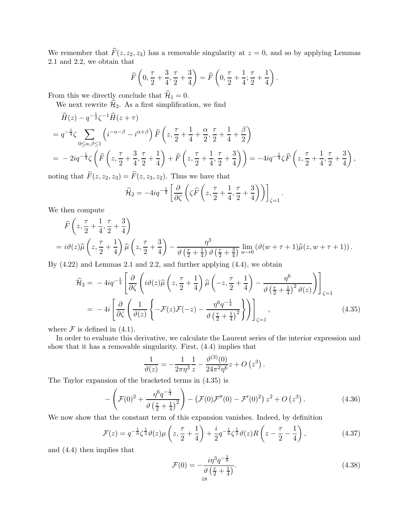We remember that  $\widehat{F}(z, z_2, z_3)$  has a removable singularity at  $z = 0$ , and so by applying Lemmas 2.1 and 2.2, we obtain that

$$
\widehat{F}\left(0, \frac{\tau}{2} + \frac{3}{4}, \frac{\tau}{2} + \frac{3}{4}\right) = \widehat{F}\left(0, \frac{\tau}{2} + \frac{1}{4}; \frac{\tau}{2} + \frac{1}{4}\right).
$$

From this we directly conclude that  $\mathcal{\hat{H}}_1 = 0$ .

We next rewrite  $\hat{H}_2$ . As a first simplification, we find

$$
\hat{H}(z) - q^{-\frac{1}{2}}\zeta^{-1}\hat{H}(z+\tau) \n= q^{-\frac{1}{4}}\zeta \sum_{0 \le \alpha, \beta \le 1} \left( i^{-\alpha-\beta} - i^{\alpha+\beta} \right) \hat{F}\left(z, \frac{\tau}{2} + \frac{1}{4} + \frac{\alpha}{2}, \frac{\tau}{2} + \frac{1}{4} + \frac{\beta}{2}\right) \n= -2iq^{-\frac{1}{4}}\zeta \left( \hat{F}\left(z, \frac{\tau}{2} + \frac{3}{4}, \frac{\tau}{2} + \frac{1}{4}\right) + \hat{F}\left(z, \frac{\tau}{2} + \frac{1}{4}, \frac{\tau}{2} + \frac{3}{4}\right) \right) = -4iq^{-\frac{1}{4}}\zeta \hat{F}\left(z, \frac{\tau}{2} + \frac{1}{4}, \frac{\tau}{2} + \frac{3}{4}\right),
$$

noting that  $F(z, z_2, z_3) = F(z, z_3, z_2)$ . Thus we have that

$$
\widehat{\mathcal{H}}_2 = -4iq^{-\frac{1}{4}} \left[ \frac{\partial}{\partial \zeta} \left( \zeta \widehat{F} \left( z, \frac{\tau}{2} + \frac{1}{4}, \frac{\tau}{2} + \frac{3}{4} \right) \right) \right]_{\zeta=1}
$$

We then compute

$$
\hat{F}\left(z,\frac{\tau}{2}+\frac{1}{4},\frac{\tau}{2}+\frac{3}{4}\right)
$$
\n
$$
=i\vartheta(z)\hat{\mu}\left(z,\frac{\tau}{2}+\frac{1}{4}\right)\hat{\mu}\left(z,\frac{\tau}{2}+\frac{3}{4}\right)-\frac{\eta^3}{\vartheta\left(\frac{\tau}{2}+\frac{1}{4}\right)\vartheta\left(\frac{\tau}{2}+\frac{3}{4}\right)}\lim_{w\to 0}\left(\vartheta(w+\tau+1)\hat{\mu}(z,w+\tau+1)\right).
$$
\n(1.88)

By  $(4.22)$  and Lemmas 2.1 and 2.2, and further applying  $(4.4)$ , we obtain

$$
\hat{\mathcal{H}}_2 = -4iq^{-\frac{1}{4}} \left[ \frac{\partial}{\partial \zeta} \left( i\vartheta(z)\widehat{\mu}\left(z, \frac{\tau}{2} + \frac{1}{4}\right) \widehat{\mu}\left(-z, \frac{\tau}{2} + \frac{1}{4}\right) - \frac{\eta^6}{\vartheta\left(\frac{\tau}{2} + \frac{1}{4}\right)^2} \vartheta(z) \right) \right]_{\zeta=1}
$$
\n
$$
= -4i \left[ \frac{\partial}{\partial \zeta} \left( \frac{1}{\vartheta(z)} \left\{ -\mathcal{F}(z)\mathcal{F}(-z) - \frac{\eta^6 q^{-\frac{1}{4}}}{\vartheta\left(\frac{\tau}{2} + \frac{1}{4}\right)^2} \right\} \right) \right]_{\zeta=1},
$$
\n(4.35)

where  $\mathcal F$  is defined in (4.1).

In order to evaluate this derivative, we calculate the Laurent series of the interior expression and show that it has a removable singularity. First, (4.4) implies that

$$
\frac{1}{\vartheta(z)} = -\frac{1}{2\pi\eta^3} \frac{1}{z} - \frac{\vartheta^{(3)}(0)}{24\pi^2\eta^6} z + O\left(z^3\right).
$$

The Taylor expansion of the bracketed terms in (4.35) is

$$
-\left(\mathcal{F}(0)^2 + \frac{\eta^6 q^{-\frac{1}{4}}}{\vartheta\left(\frac{\tau}{2} + \frac{1}{4}\right)^2}\right) - \left(\mathcal{F}(0)\mathcal{F}''(0) - \mathcal{F}'(0)^2\right)z^2 + O\left(z^3\right). \tag{4.36}
$$

We now show that the constant term of this expansion vanishes. Indeed, by definition

$$
\mathcal{F}(z) = q^{-\frac{1}{8}} \zeta^{\frac{1}{2}} \vartheta(z) \mu\left(z, \frac{\tau}{2} + \frac{1}{4}\right) + \frac{i}{2} q^{-\frac{1}{8}} \zeta^{\frac{1}{2}} \vartheta(z) R\left(z - \frac{\tau}{2} - \frac{1}{4}\right),\tag{4.37}
$$

and (4.4) then implies that

$$
\mathcal{F}(0) = -\frac{i\eta^3 q^{-\frac{1}{8}}}{\eta^3 \left(\frac{\tau}{2} + \frac{1}{4}\right)}.
$$
\n(4.38)

.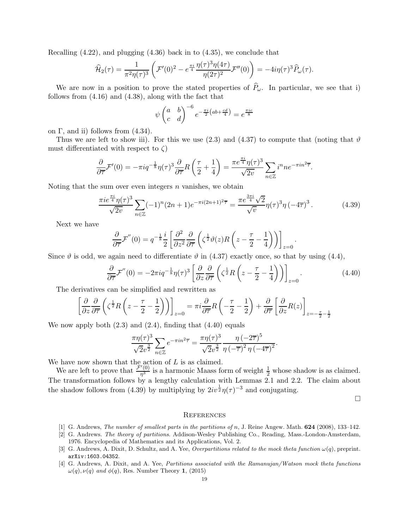Recalling (4.22), and plugging (4.36) back in to (4.35), we conclude that

$$
\widehat{\mathcal{H}}_2(\tau) = \frac{1}{\pi^2 \eta(\tau)^3} \left( \mathcal{F}'(0)^2 - e^{\frac{\pi i}{4}} \frac{\eta(\tau)^3 \eta(4\tau)}{\eta(2\tau)^2} \mathcal{F}''(0) \right) = -4i\eta(\tau)^3 \widehat{P}_\omega(\tau).
$$

We are now in a position to prove the stated properties of  $\widehat{P}_\omega$ . In particular, we see that i) follows from (4.16) and (4.38), along with the fact that

$$
\psi \begin{pmatrix} a & b \\ c & d \end{pmatrix}^{-6} e^{-\frac{\pi i}{2} \left(ab + \frac{cd}{4}\right)} = e^{\frac{\pi i c}{8}}
$$

on  $\Gamma$ , and ii) follows from  $(4.34)$ .

Thus we are left to show iii). For this we use (2.3) and (4.37) to compute that (noting that  $\vartheta$ must differentiated with respect to  $\zeta$ )

$$
\frac{\partial}{\partial \overline{\tau}} \mathcal{F}'(0) = -\pi i q^{-\frac{1}{8}} \eta(\tau)^3 \frac{\partial}{\partial \overline{\tau}} R\left(\frac{\tau}{2} + \frac{1}{4}\right) = \frac{\pi e^{\frac{\pi i}{4}} \eta(\tau)^3}{\sqrt{2v}} \sum_{n \in \mathbb{Z}} i^n n e^{-\pi i n^2 \overline{\tau}}.
$$

Noting that the sum over even integers  $n$  vanishes, we obtain

$$
\frac{\pi i e^{\frac{\pi i}{4}} \eta(\tau)^3}{\sqrt{2v}} \sum_{n \in \mathbb{Z}} (-1)^n (2n+1) e^{-\pi i (2n+1)^2 \overline{\tau}} = \frac{\pi e^{\frac{3\pi i}{4}} \sqrt{2}}{\sqrt{v}} \eta(\tau)^3 \eta (-4\overline{\tau})^3. \tag{4.39}
$$

Next we have

$$
\frac{\partial}{\partial \overline{\tau}} \mathcal{F}''(0) = q^{-\frac{1}{8}} \frac{i}{2} \left[ \frac{\partial^2}{\partial z^2} \frac{\partial}{\partial \overline{\tau}} \left( \zeta^{\frac{1}{2}} \vartheta(z) R \left( z - \frac{\tau}{2} - \frac{1}{4} \right) \right) \right]_{z=0}.
$$

Since  $\vartheta$  is odd, we again need to differentiate  $\vartheta$  in (4.37) exactly once, so that by using (4.4),

$$
\frac{\partial}{\partial \overline{\tau}} \mathcal{F}''(0) = -2\pi i q^{-\frac{1}{8}} \eta(\tau)^3 \left[ \frac{\partial}{\partial z} \frac{\partial}{\partial \overline{\tau}} \left( \zeta^{\frac{1}{2}} R \left( z - \frac{\tau}{2} - \frac{1}{4} \right) \right) \right]_{z=0} . \tag{4.40}
$$

The derivatives can be simplified and rewritten as

$$
\left[\frac{\partial}{\partial z}\frac{\partial}{\partial \overline{\tau}}\left(\zeta^{\frac{1}{2}}R\left(z-\frac{\tau}{2}-\frac{1}{2}\right)\right)\right]_{z=0} = \pi i \frac{\partial}{\partial \overline{\tau}}R\left(-\frac{\tau}{2}-\frac{1}{2}\right) + \frac{\partial}{\partial \overline{\tau}}\left[\frac{\partial}{\partial z}R(z)\right]_{z=-\frac{\tau}{2}-\frac{1}{2}}
$$

We now apply both  $(2.3)$  and  $(2.4)$ , finding that  $(4.40)$  equals

$$
\frac{\pi\eta(\tau)^3}{\sqrt{2}v^{\frac{3}{2}}} \sum_{n\in\mathbb{Z}} e^{-\pi i n^2 \overline{\tau}} = \frac{\pi\eta(\tau)^3}{\sqrt{2}v^{\frac{3}{2}}} \frac{\eta(-2\overline{\tau})^5}{\eta(-\overline{\tau})^2 \eta(-4\overline{\tau})^2}.
$$

We have now shown that the action of  $L$  is as claimed.

We are left to prove that  $\frac{\mathcal{F}'(0)}{n^3}$  $\frac{1}{2}$  is a harmonic Maass form of weight  $\frac{1}{2}$  whose shadow is as claimed. The transformation follows by a lengthy calculation with Lemmas  $2.1$  and 2.2. The claim about the shadow follows from (4.39) by multiplying by  $2iv^{\frac{1}{2}}\eta(\tau)^{-3}$  and conjugating.

 $\Box$ 

#### **REFERENCES**

- [1] G. Andrews, *The number of smallest parts in the partitions of n*, J. Reine Angew. Math. **624** (2008), 133-142.
- [2] G. Andrews. The theory of partitions. Addison-Wesley Publishing Co., Reading, Mass.-London-Amsterdam, 1976. Encyclopedia of Mathematics and its Applications, Vol. 2.
- [3] G. Andrews, A. Dixit, D. Schultz, and A. Yee, Overpartitions related to the mock theta function  $\omega(q)$ , preprint. arXiv:1603.04352.
- [4] G. Andrews, A. Dixit, and A. Yee, Partitions associated with the Ramanujan/Watson mock theta functions  $\omega(q)$ ,  $\nu(q)$  and  $\phi(q)$ , Res. Number Theory 1, (2015)